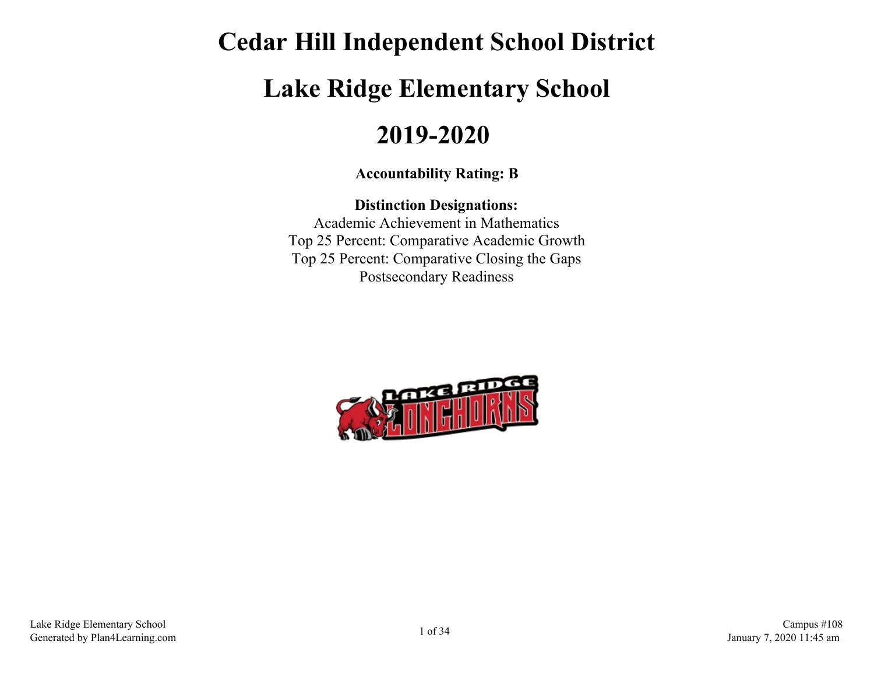# **Cedar Hill Independent School District Lake Ridge Elementary School 2019-2020**

#### **Accountability Rating: B**

### **Distinction Designations:** Academic Achievement in Mathematics Top 25 Percent: Comparative Academic Growth

Top 25 Percent: Comparative Closing the Gaps Postsecondary Readiness

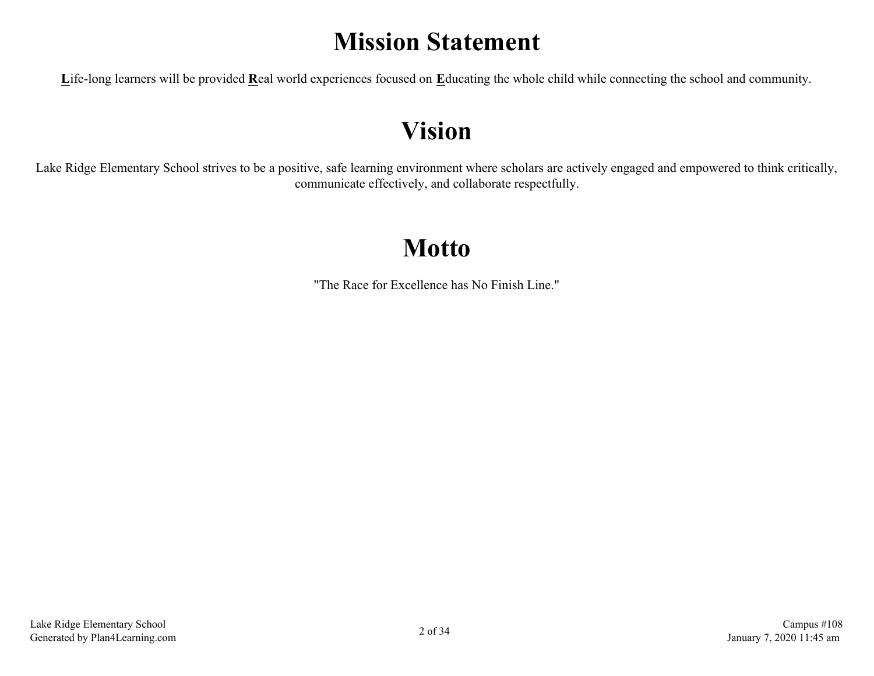## **Mission Statement**

**L**ife-long learners will be provided **R**eal world experiences focused on **E**ducating the whole child while connecting the school and community.

## **Vision**

Lake Ridge Elementary School strives to be a positive, safe learning environment where scholars are actively engaged and empowered to think critically, communicate effectively, and collaborate respectfully.

## **Motto**

"The Race for Excellence has No Finish Line."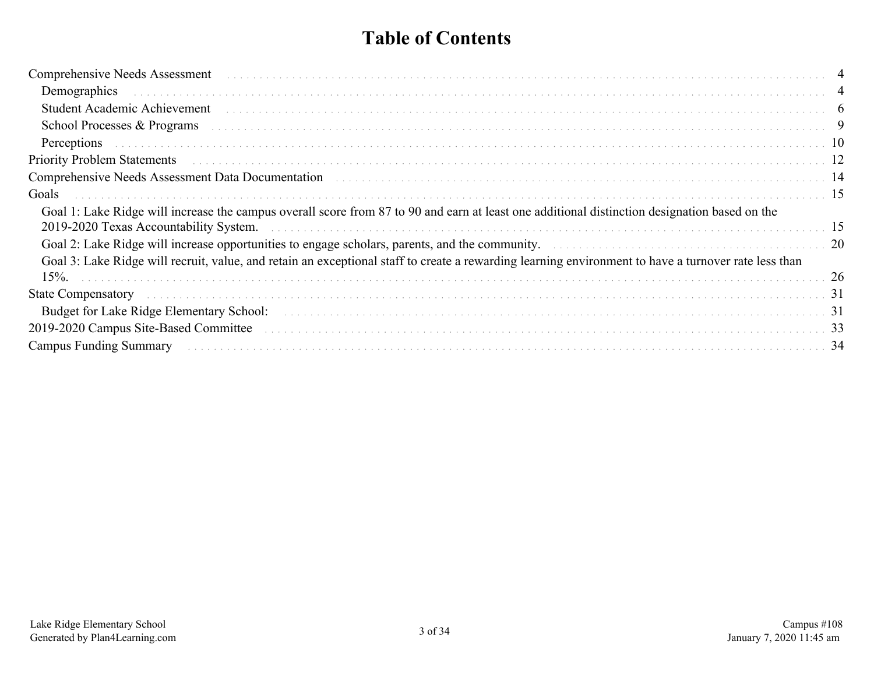### **Table of Contents**

| Comprehensive Needs Assessment (and the contract of the contract of the contract of the contract of the contract of the contract of the contract of the contract of the contract of the contract of the contract of the contra |    |
|--------------------------------------------------------------------------------------------------------------------------------------------------------------------------------------------------------------------------------|----|
|                                                                                                                                                                                                                                |    |
| Student Academic Achievement experiences and contact the contract of the contract of the contract of the contract of the contract of the contract of the contract of the contract of the contract of the contract of the contr |    |
| School Processes & Programs (a) respectively and the contract of the contract of the contract of the contract of the contract of the contract of the contract of the contract of the contract of the contract of the contract  |    |
|                                                                                                                                                                                                                                |    |
|                                                                                                                                                                                                                                |    |
| Comprehensive Needs Assessment Data Documentation (and all contracts and all contracts and all comprehensive Needs Assessment Data Documentation (and all contracts and all contracts and all contracts and all contracts and  |    |
| Goals                                                                                                                                                                                                                          |    |
| Goal 1: Lake Ridge will increase the campus overall score from 87 to 90 and earn at least one additional distinction designation based on the                                                                                  |    |
|                                                                                                                                                                                                                                |    |
| Goal 3: Lake Ridge will recruit, value, and retain an exceptional staff to create a rewarding learning environment to have a turnover rate less than                                                                           |    |
| 15%                                                                                                                                                                                                                            | 26 |
| State Compensatory et al., and the compensator of the control of the control of the compensatory and the compensatory and the control of the control of the control of the control of the control of the control of the contro |    |
|                                                                                                                                                                                                                                |    |
|                                                                                                                                                                                                                                |    |
| Campus Funding Summary (and all contact the contract of the contract of the contract of the contract of the contract of the contract of the contract of the contract of the contract of the contract of the contract of the co |    |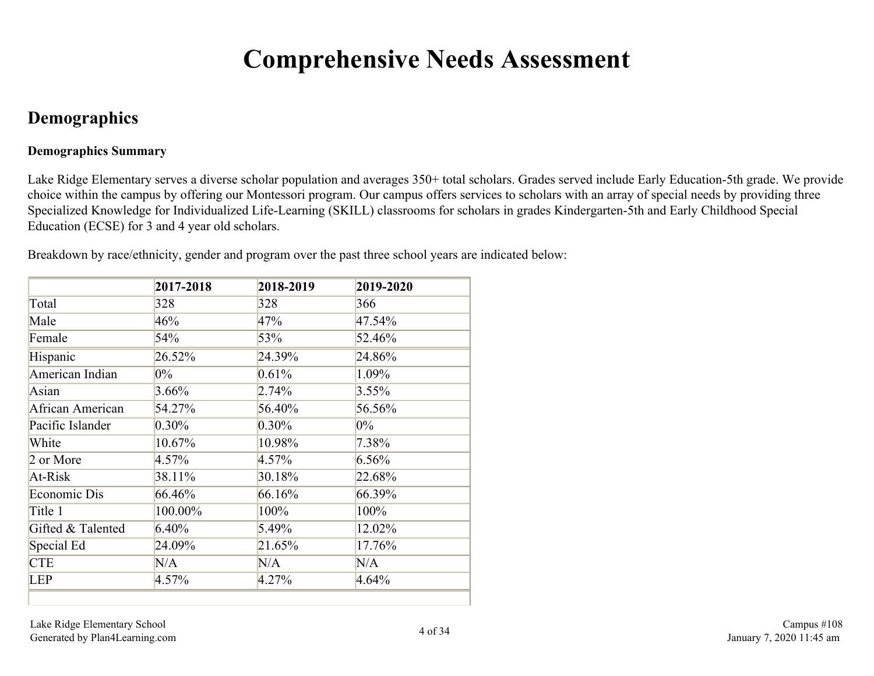## **Comprehensive Needs Assessment**

### <span id="page-3-0"></span>**Demographics**

#### **Demographics Summary**

Lake Ridge Elementary serves a diverse scholar population and averages 350+ total scholars. Grades served include Early Education-5th grade. We provide choice within the campus by offering our Montessori program. Our campus offers services to scholars with an array of special needs by providing three Specialized Knowledge for Individualized Life-Learning (SKILL) classrooms for scholars in grades Kindergarten-5th and Early Childhood Special Education (ECSE) for 3 and 4 year old scholars.

Breakdown by race/ethnicity, gender and program over the past three school years are indicated below:

|                   | 2017-2018 | 2018-2019 | 2019-2020 |
|-------------------|-----------|-----------|-----------|
| Total             | 328       | 328       | 366       |
| Male              | 46%       | 47%       | 47.54%    |
| Female            | 54%       | 53%       | 52.46%    |
| Hispanic          | 26.52%    | 24.39%    | 24.86%    |
| American Indian   | $0\%$     | 0.61%     | 1.09%     |
| Asian             | 3.66%     | $2.74\%$  | $3.55\%$  |
| African American  | 54.27%    | 56.40%    | 56.56%    |
| Pacific Islander  | $0.30\%$  | $0.30\%$  | $0\%$     |
| White             | 10.67%    | 10.98%    | 7.38%     |
| 2 or More         | 4.57%     | 4.57%     | 6.56%     |
| At-Risk           | 38.11%    | 30.18%    | 22.68%    |
| Economic Dis      | 66.46%    | 66.16%    | 66.39%    |
| Title 1           | 100.00%   | 100%      | 100%      |
| Gifted & Talented | $6.40\%$  | 5.49%     | 12.02%    |
| Special Ed        | 24.09%    | 21.65%    | 17.76%    |
| <b>CTE</b>        | N/A       | N/A       | N/A       |
| <b>LEP</b>        | 4.57%     | 4.27%     | 4.64%     |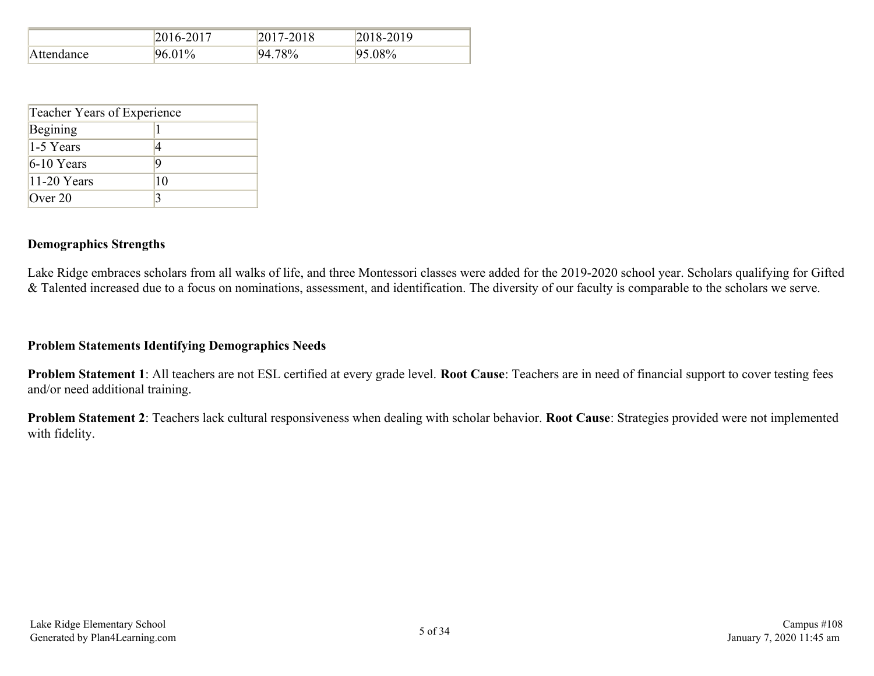|            | 2016-2017 | 2017-2018 | 2018-2019 |
|------------|-----------|-----------|-----------|
| Attendance | 96.01%    | 94.78%    | 95.08%    |

| Teacher Years of Experience |    |  |  |  |  |  |  |  |
|-----------------------------|----|--|--|--|--|--|--|--|
| Begining                    |    |  |  |  |  |  |  |  |
| 1-5 Years                   | 4  |  |  |  |  |  |  |  |
| $6-10$ Years                | 9  |  |  |  |  |  |  |  |
| 11-20 Years                 | 10 |  |  |  |  |  |  |  |
| Over $20$                   |    |  |  |  |  |  |  |  |

#### **Demographics Strengths**

Lake Ridge embraces scholars from all walks of life, and three Montessori classes were added for the 2019-2020 school year. Scholars qualifying for Gifted & Talented increased due to a focus on nominations, assessment, and identification. The diversity of our faculty is comparable to the scholars we serve.

#### **Problem Statements Identifying Demographics Needs**

**Problem Statement 1**: All teachers are not ESL certified at every grade level. **Root Cause**: Teachers are in need of financial support to cover testing fees and/or need additional training.

**Problem Statement 2**: Teachers lack cultural responsiveness when dealing with scholar behavior. **Root Cause**: Strategies provided were not implemented with fidelity.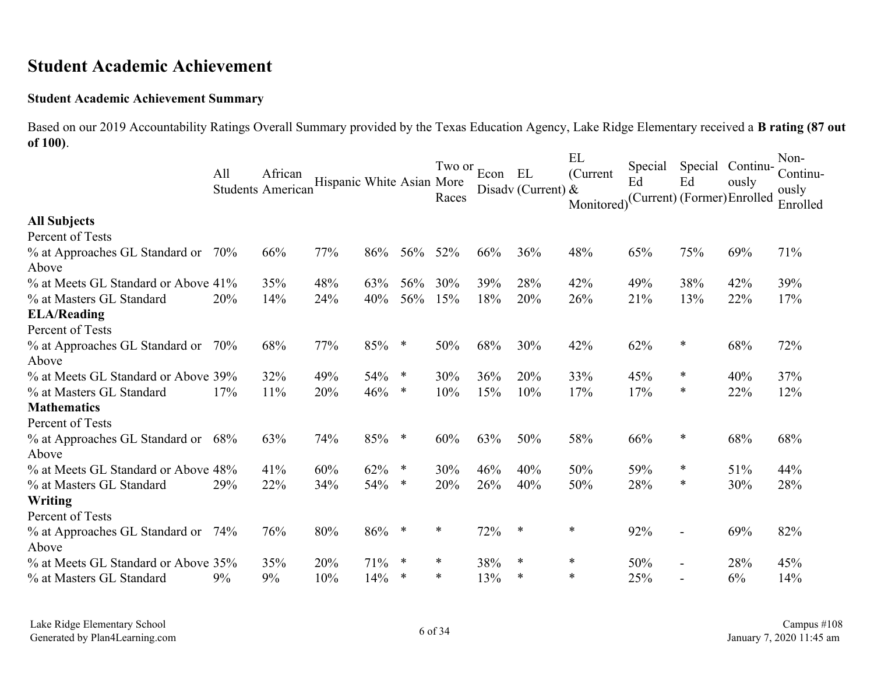### <span id="page-5-0"></span>**Student Academic Achievement**

#### **Student Academic Achievement Summary**

Based on our 2019 Accountability Ratings Overall Summary provided by the Texas Education Agency, Lake Ridge Elementary received a **B rating (87 out of 100)**. **ELL**  $\mathbf{v}$ 

|                                             | All | African<br><b>Students American</b> | Hispanic White Asian More |     |        | Two or<br>Races | Econ EL | Disadv (Current) & | ЕL<br>(Current<br>Monitored) | Special<br>Ed<br>(Current) (Former) Enrolled | Special<br>Ed            | Continu-<br>ously | Non-<br>Continu-<br>ously<br>Enrolled |
|---------------------------------------------|-----|-------------------------------------|---------------------------|-----|--------|-----------------|---------|--------------------|------------------------------|----------------------------------------------|--------------------------|-------------------|---------------------------------------|
| <b>All Subjects</b>                         |     |                                     |                           |     |        |                 |         |                    |                              |                                              |                          |                   |                                       |
| Percent of Tests                            |     |                                     |                           |     |        |                 |         |                    |                              |                                              |                          |                   |                                       |
| % at Approaches GL Standard or<br>Above     | 70% | 66%                                 | 77%                       | 86% | 56%    | 52%             | 66%     | 36%                | 48%                          | 65%                                          | 75%                      | 69%               | 71%                                   |
| % at Meets GL Standard or Above 41%         |     | 35%                                 | 48%                       | 63% | 56%    | 30%             | 39%     | 28%                | 42%                          | 49%                                          | 38%                      | 42%               | 39%                                   |
| % at Masters GL Standard                    | 20% | 14%                                 | 24%                       | 40% | 56%    | 15%             | 18%     | 20%                | 26%                          | 21%                                          | 13%                      | 22%               | 17%                                   |
| <b>ELA/Reading</b>                          |     |                                     |                           |     |        |                 |         |                    |                              |                                              |                          |                   |                                       |
| Percent of Tests                            |     |                                     |                           |     |        |                 |         |                    |                              |                                              |                          |                   |                                       |
| % at Approaches GL Standard or<br>Above     | 70% | 68%                                 | 77%                       | 85% | $\ast$ | 50%             | 68%     | 30%                | 42%                          | 62%                                          | $\ast$                   | 68%               | 72%                                   |
| % at Meets GL Standard or Above 39%         |     | 32%                                 | 49%                       | 54% | $\ast$ | 30%             | 36%     | 20%                | 33%                          | 45%                                          | $\ast$                   | 40%               | 37%                                   |
| % at Masters GL Standard                    | 17% | 11%                                 | 20%                       | 46% | ∗      | 10%             | 15%     | 10%                | 17%                          | 17%                                          | $\ast$                   | 22%               | 12%                                   |
| <b>Mathematics</b>                          |     |                                     |                           |     |        |                 |         |                    |                              |                                              |                          |                   |                                       |
| Percent of Tests                            |     |                                     |                           |     |        |                 |         |                    |                              |                                              |                          |                   |                                       |
| % at Approaches GL Standard or 68%<br>Above |     | 63%                                 | 74%                       | 85% | $\ast$ | 60%             | 63%     | 50%                | 58%                          | 66%                                          | $\ast$                   | 68%               | 68%                                   |
| % at Meets GL Standard or Above 48%         |     | 41%                                 | 60%                       | 62% | $\ast$ | 30%             | 46%     | 40%                | 50%                          | 59%                                          | $\ast$                   | 51%               | 44%                                   |
| % at Masters GL Standard                    | 29% | 22%                                 | 34%                       | 54% | ∗      | 20%             | 26%     | 40%                | 50%                          | 28%                                          | $\ast$                   | 30%               | 28%                                   |
| <b>Writing</b>                              |     |                                     |                           |     |        |                 |         |                    |                              |                                              |                          |                   |                                       |
| Percent of Tests                            |     |                                     |                           |     |        |                 |         |                    |                              |                                              |                          |                   |                                       |
| % at Approaches GL Standard or<br>Above     | 74% | 76%                                 | 80%                       | 86% | ∗      | $\ast$          | 72%     | $\ast$             | ∗                            | 92%                                          | $\overline{\phantom{a}}$ | 69%               | 82%                                   |
| % at Meets GL Standard or Above 35%         |     | 35%                                 | 20%                       | 71% | ∗      | ∗               | 38%     | *                  | *                            | 50%                                          | $\overline{\phantom{0}}$ | 28%               | 45%                                   |
| % at Masters GL Standard                    | 9%  | 9%                                  | 10%                       | 14% | $\ast$ | $\ast$          | 13%     | $\ast$             | $\ast$                       | 25%                                          |                          | 6%                | 14%                                   |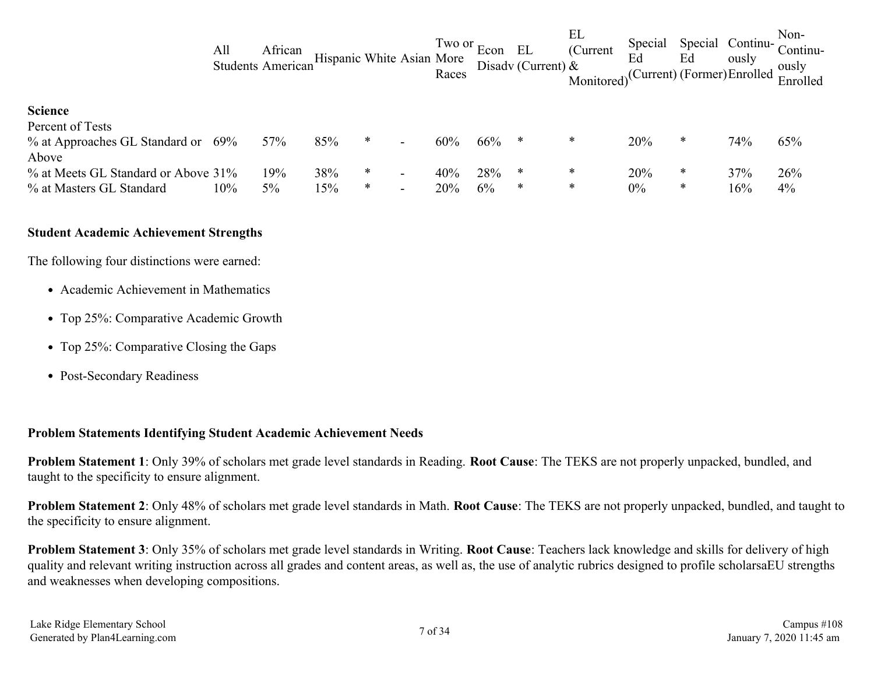|                                     | All | African<br>Students American | Hispanic White Asian More |        |                          | Two or $Econ$<br>Races |     | EL<br>Disady (Current) $\&$ | EL<br>(Current<br>Monitored) <sup>(Current)</sup> (Former) Enrolled | Special<br>Ed | Ed     | Special Continu-<br>ously | Non-<br>Continu-<br>ously<br>Enrolled |
|-------------------------------------|-----|------------------------------|---------------------------|--------|--------------------------|------------------------|-----|-----------------------------|---------------------------------------------------------------------|---------------|--------|---------------------------|---------------------------------------|
| <b>Science</b>                      |     |                              |                           |        |                          |                        |     |                             |                                                                     |               |        |                           |                                       |
| Percent of Tests                    |     |                              |                           |        |                          |                        |     |                             |                                                                     |               |        |                           |                                       |
| % at Approaches GL Standard or 69%  |     | 57%                          | 85%                       | $\ast$ |                          | 60%                    | 66% | ∗                           | ∗                                                                   | 20%           | ∗      | 74%                       | 65%                                   |
| Above                               |     |                              |                           |        |                          |                        |     |                             |                                                                     |               |        |                           |                                       |
| % at Meets GL Standard or Above 31% |     | 19%                          | 38%                       | $\ast$ |                          | 40%                    | 28% | ∗                           | ∗                                                                   | 20%           | $\ast$ | 37%                       | 26%                                   |
| % at Masters GL Standard            | 10% | 5%                           | 15%                       | $\ast$ | $\overline{\phantom{0}}$ | 20%                    | 6%  | $\ast$                      | $\ast$                                                              | $0\%$         | $\ast$ | 16%                       | $4\%$                                 |

#### **Student Academic Achievement Strengths**

The following four distinctions were earned:

- Academic Achievement in Mathematics
- Top 25%: Comparative Academic Growth
- Top 25%: Comparative Closing the Gaps
- Post-Secondary Readiness

#### **Problem Statements Identifying Student Academic Achievement Needs**

**Problem Statement 1**: Only 39% of scholars met grade level standards in Reading. **Root Cause**: The TEKS are not properly unpacked, bundled, and taught to the specificity to ensure alignment.

**Problem Statement 2**: Only 48% of scholars met grade level standards in Math. **Root Cause**: The TEKS are not properly unpacked, bundled, and taught to the specificity to ensure alignment.

**Problem Statement 3**: Only 35% of scholars met grade level standards in Writing. **Root Cause**: Teachers lack knowledge and skills for delivery of high quality and relevant writing instruction across all grades and content areas, as well as, the use of analytic rubrics designed to profile scholarsaEU strengths and weaknesses when developing compositions.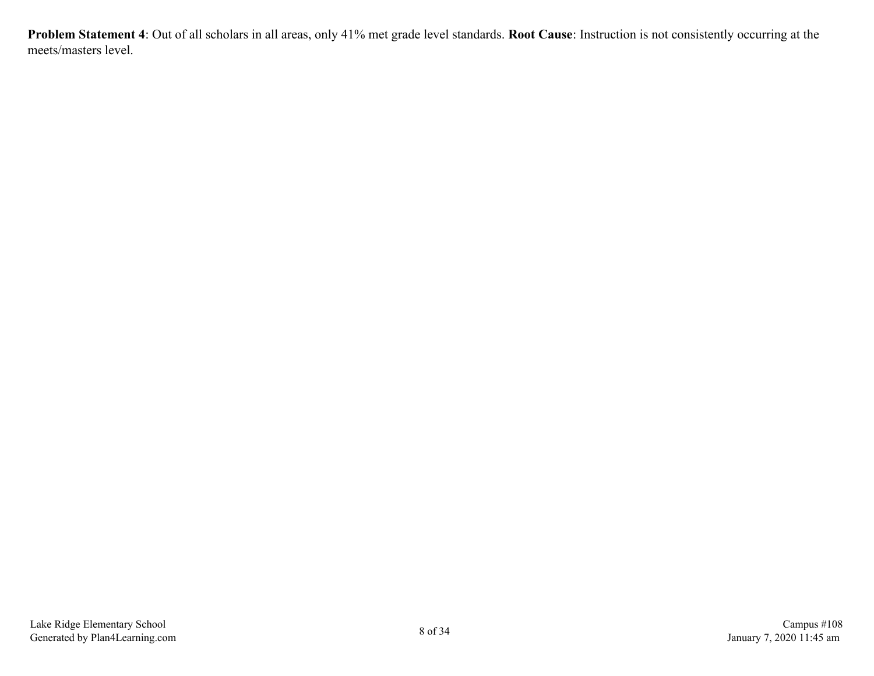**Problem Statement 4**: Out of all scholars in all areas, only 41% met grade level standards. **Root Cause**: Instruction is not consistently occurring at the meets/masters level.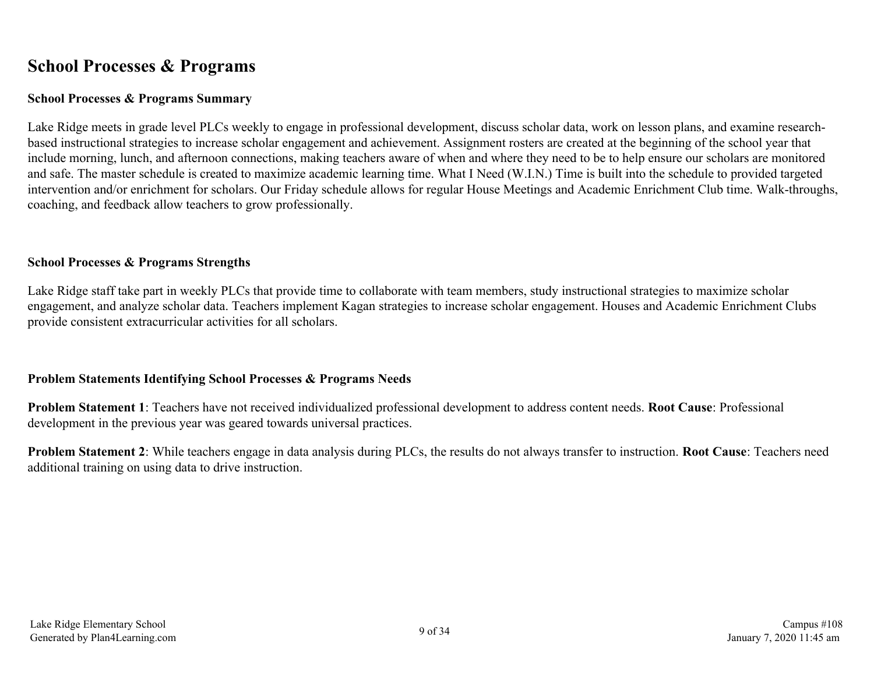### <span id="page-8-0"></span>**School Processes & Programs**

#### **School Processes & Programs Summary**

Lake Ridge meets in grade level PLCs weekly to engage in professional development, discuss scholar data, work on lesson plans, and examine researchbased instructional strategies to increase scholar engagement and achievement. Assignment rosters are created at the beginning of the school year that include morning, lunch, and afternoon connections, making teachers aware of when and where they need to be to help ensure our scholars are monitored and safe. The master schedule is created to maximize academic learning time. What I Need (W.I.N.) Time is built into the schedule to provided targeted intervention and/or enrichment for scholars. Our Friday schedule allows for regular House Meetings and Academic Enrichment Club time. Walk-throughs, coaching, and feedback allow teachers to grow professionally.

#### **School Processes & Programs Strengths**

Lake Ridge staff take part in weekly PLCs that provide time to collaborate with team members, study instructional strategies to maximize scholar engagement, and analyze scholar data. Teachers implement Kagan strategies to increase scholar engagement. Houses and Academic Enrichment Clubs provide consistent extracurricular activities for all scholars.

#### **Problem Statements Identifying School Processes & Programs Needs**

**Problem Statement 1**: Teachers have not received individualized professional development to address content needs. **Root Cause**: Professional development in the previous year was geared towards universal practices.

**Problem Statement 2**: While teachers engage in data analysis during PLCs, the results do not always transfer to instruction. **Root Cause**: Teachers need additional training on using data to drive instruction.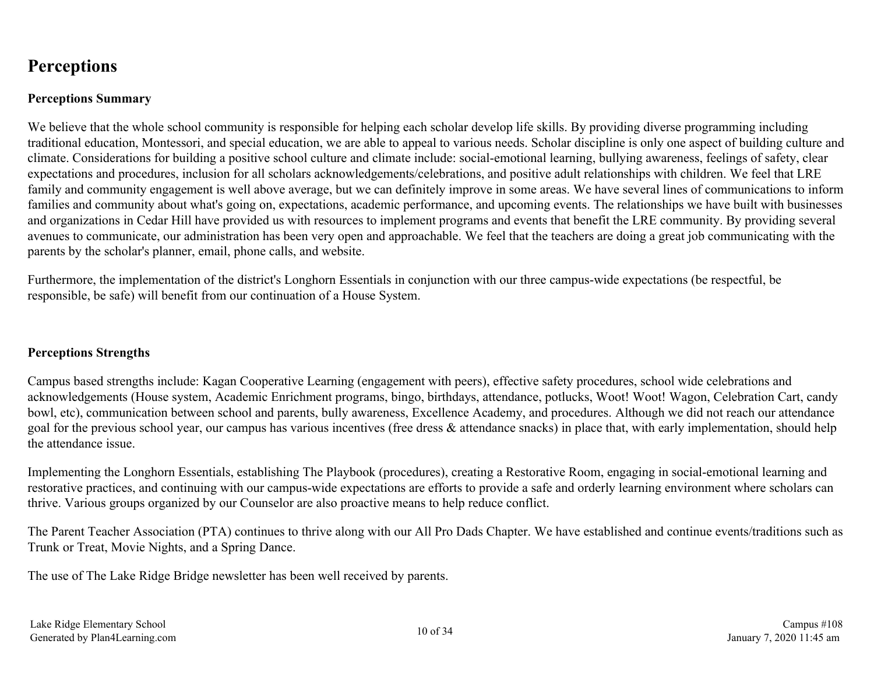### <span id="page-9-0"></span>**Perceptions**

#### **Perceptions Summary**

We believe that the whole school community is responsible for helping each scholar develop life skills. By providing diverse programming including traditional education, Montessori, and special education, we are able to appeal to various needs. Scholar discipline is only one aspect of building culture and climate. Considerations for building a positive school culture and climate include: social-emotional learning, bullying awareness, feelings of safety, clear expectations and procedures, inclusion for all scholars acknowledgements/celebrations, and positive adult relationships with children. We feel that LRE family and community engagement is well above average, but we can definitely improve in some areas. We have several lines of communications to inform families and community about what's going on, expectations, academic performance, and upcoming events. The relationships we have built with businesses and organizations in Cedar Hill have provided us with resources to implement programs and events that benefit the LRE community. By providing several avenues to communicate, our administration has been very open and approachable. We feel that the teachers are doing a great job communicating with the parents by the scholar's planner, email, phone calls, and website.

Furthermore, the implementation of the district's Longhorn Essentials in conjunction with our three campus-wide expectations (be respectful, be responsible, be safe) will benefit from our continuation of a House System.

#### **Perceptions Strengths**

Campus based strengths include: Kagan Cooperative Learning (engagement with peers), effective safety procedures, school wide celebrations and acknowledgements (House system, Academic Enrichment programs, bingo, birthdays, attendance, potlucks, Woot! Woot! Wagon, Celebration Cart, candy bowl, etc), communication between school and parents, bully awareness, Excellence Academy, and procedures. Although we did not reach our attendance goal for the previous school year, our campus has various incentives (free dress & attendance snacks) in place that, with early implementation, should help the attendance issue.

Implementing the Longhorn Essentials, establishing The Playbook (procedures), creating a Restorative Room, engaging in social-emotional learning and restorative practices, and continuing with our campus-wide expectations are efforts to provide a safe and orderly learning environment where scholars can thrive. Various groups organized by our Counselor are also proactive means to help reduce conflict.

The Parent Teacher Association (PTA) continues to thrive along with our All Pro Dads Chapter. We have established and continue events/traditions such as Trunk or Treat, Movie Nights, and a Spring Dance.

The use of The Lake Ridge Bridge newsletter has been well received by parents.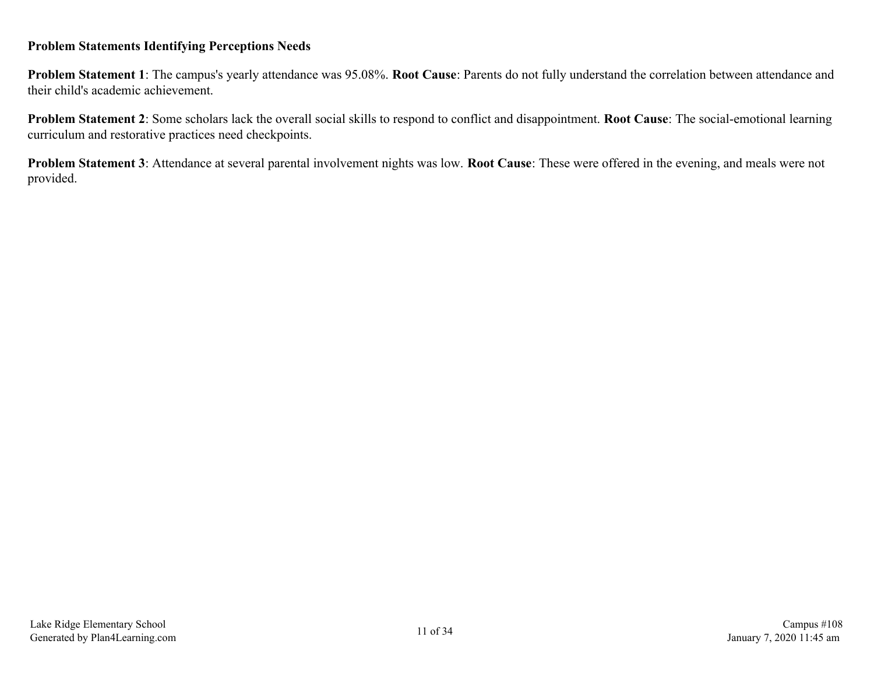#### **Problem Statements Identifying Perceptions Needs**

**Problem Statement 1**: The campus's yearly attendance was 95.08%. **Root Cause**: Parents do not fully understand the correlation between attendance and their child's academic achievement.

**Problem Statement 2**: Some scholars lack the overall social skills to respond to conflict and disappointment. **Root Cause**: The social-emotional learning curriculum and restorative practices need checkpoints.

**Problem Statement 3**: Attendance at several parental involvement nights was low. **Root Cause**: These were offered in the evening, and meals were not provided.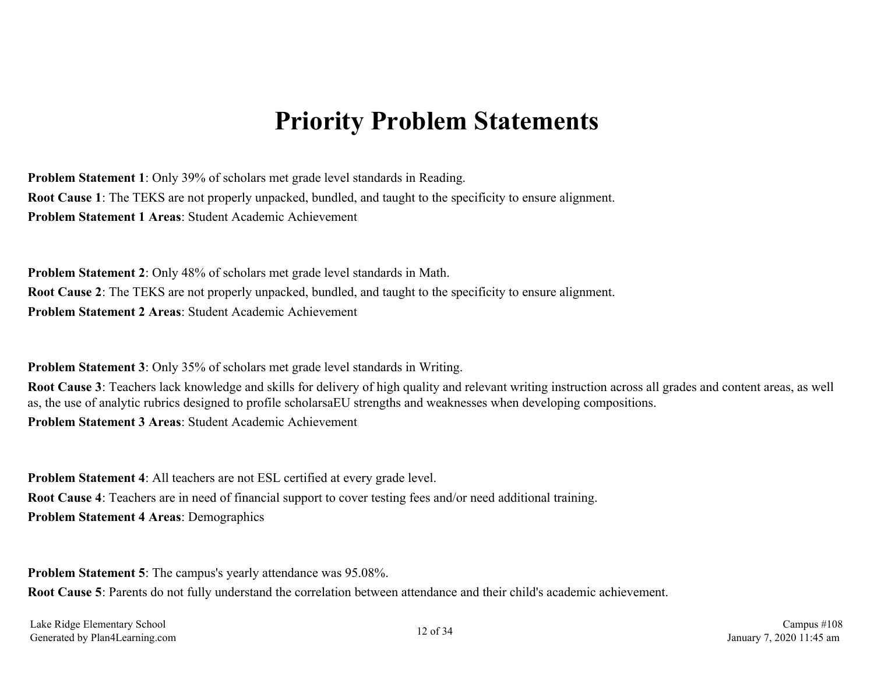### **Priority Problem Statements**

<span id="page-11-0"></span>**Problem Statement 1**: Only 39% of scholars met grade level standards in Reading. **Root Cause 1**: The TEKS are not properly unpacked, bundled, and taught to the specificity to ensure alignment. **Problem Statement 1 Areas**: Student Academic Achievement

**Problem Statement 2**: Only 48% of scholars met grade level standards in Math. **Root Cause 2**: The TEKS are not properly unpacked, bundled, and taught to the specificity to ensure alignment. **Problem Statement 2 Areas**: Student Academic Achievement

**Problem Statement 3**: Only 35% of scholars met grade level standards in Writing.

**Root Cause 3**: Teachers lack knowledge and skills for delivery of high quality and relevant writing instruction across all grades and content areas, as well as, the use of analytic rubrics designed to profile scholarsaEU strengths and weaknesses when developing compositions. **Problem Statement 3 Areas**: Student Academic Achievement

**Problem Statement 4**: All teachers are not ESL certified at every grade level. **Root Cause 4**: Teachers are in need of financial support to cover testing fees and/or need additional training. **Problem Statement 4 Areas**: Demographics

**Problem Statement 5**: The campus's yearly attendance was 95.08%.

**Root Cause 5**: Parents do not fully understand the correlation between attendance and their child's academic achievement.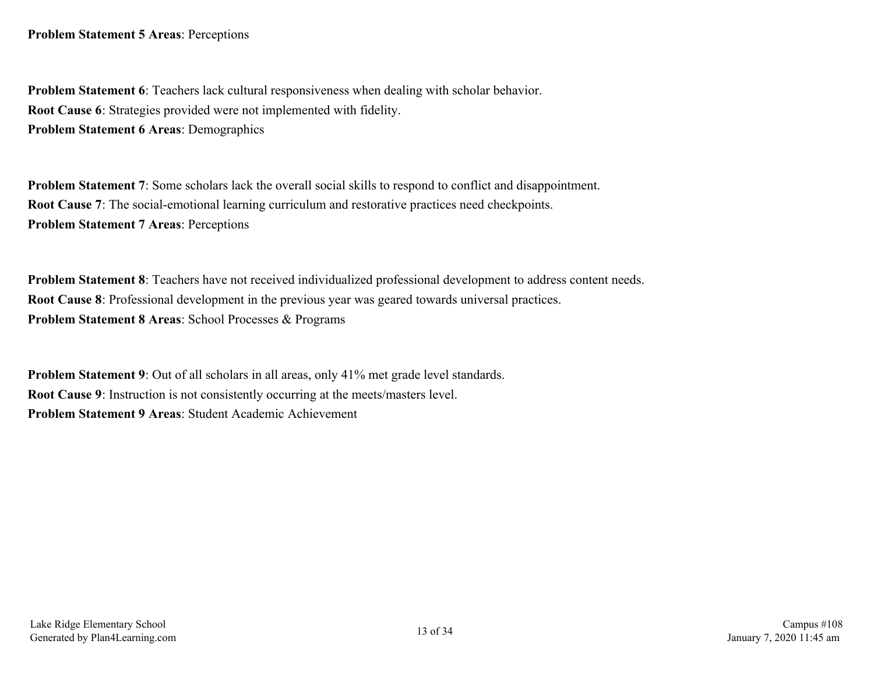**Problem Statement 6**: Teachers lack cultural responsiveness when dealing with scholar behavior. **Root Cause 6**: Strategies provided were not implemented with fidelity. **Problem Statement 6 Areas**: Demographics

**Problem Statement 7:** Some scholars lack the overall social skills to respond to conflict and disappointment. **Root Cause 7**: The social-emotional learning curriculum and restorative practices need checkpoints. **Problem Statement 7 Areas**: Perceptions

**Problem Statement 8**: Teachers have not received individualized professional development to address content needs. **Root Cause 8**: Professional development in the previous year was geared towards universal practices. **Problem Statement 8 Areas**: School Processes & Programs

**Problem Statement 9**: Out of all scholars in all areas, only 41% met grade level standards. **Root Cause 9**: Instruction is not consistently occurring at the meets/masters level. **Problem Statement 9 Areas**: Student Academic Achievement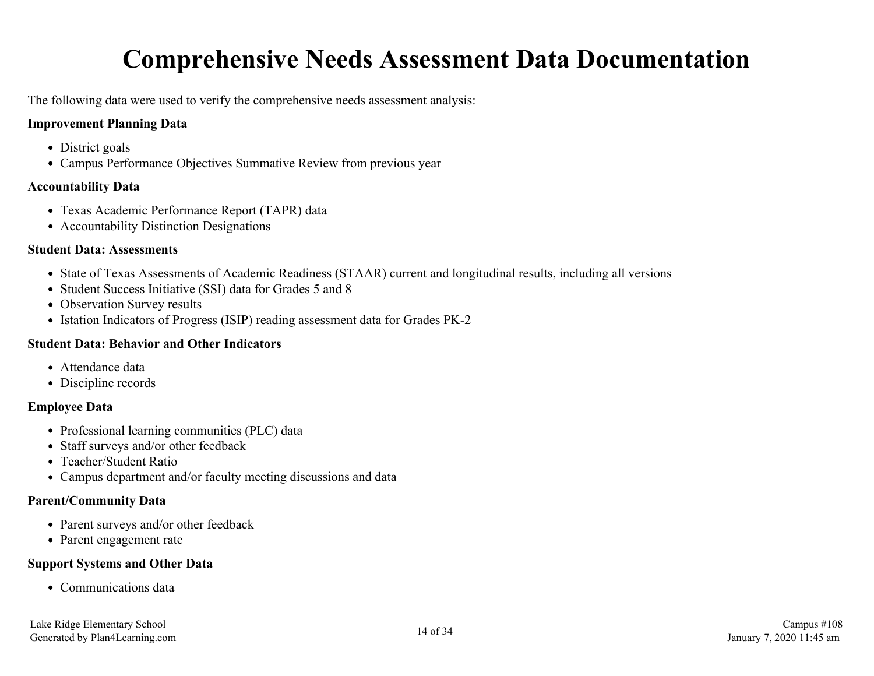## **Comprehensive Needs Assessment Data Documentation**

<span id="page-13-0"></span>The following data were used to verify the comprehensive needs assessment analysis:

#### **Improvement Planning Data**

- District goals
- Campus Performance Objectives Summative Review from previous year

#### **Accountability Data**

- Texas Academic Performance Report (TAPR) data
- Accountability Distinction Designations

#### **Student Data: Assessments**

- State of Texas Assessments of Academic Readiness (STAAR) current and longitudinal results, including all versions
- Student Success Initiative (SSI) data for Grades 5 and 8
- Observation Survey results
- Istation Indicators of Progress (ISIP) reading assessment data for Grades PK-2

#### **Student Data: Behavior and Other Indicators**

- Attendance data
- Discipline records

#### **Employee Data**

- Professional learning communities (PLC) data
- Staff surveys and/or other feedback
- Teacher/Student Ratio
- Campus department and/or faculty meeting discussions and data

#### **Parent/Community Data**

- Parent surveys and/or other feedback
- Parent engagement rate

#### **Support Systems and Other Data**

• Communications data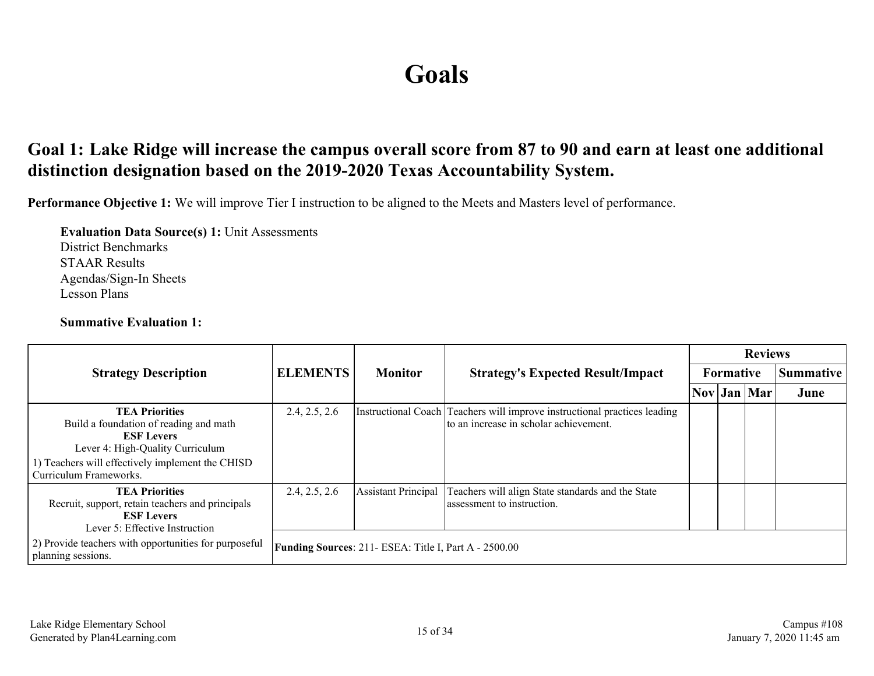## **Goals**

### <span id="page-14-0"></span>**Goal 1: Lake Ridge will increase the campus overall score from 87 to 90 and earn at least one additional distinction designation based on the 2019-2020 Texas Accountability System.**

**Performance Objective 1:** We will improve Tier I instruction to be aligned to the Meets and Masters level of performance.

**Evaluation Data Source(s) 1:** Unit Assessments District Benchmarks STAAR Results Agendas/Sign-In Sheets Lesson Plans

#### **Summative Evaluation 1:**

|                                                                                                                                                                                                        |                 | <b>Monitor</b>                                               |                                                                                                                     | <b>Reviews</b> |           |                                                            |      |  |  |  |
|--------------------------------------------------------------------------------------------------------------------------------------------------------------------------------------------------------|-----------------|--------------------------------------------------------------|---------------------------------------------------------------------------------------------------------------------|----------------|-----------|------------------------------------------------------------|------|--|--|--|
| <b>Strategy Description</b>                                                                                                                                                                            | <b>ELEMENTS</b> |                                                              | <b>Strategy's Expected Result/Impact</b>                                                                            |                | Formative | Summative                                                  |      |  |  |  |
|                                                                                                                                                                                                        |                 |                                                              |                                                                                                                     |                |           | $\vert \text{Nov} \vert \text{Jan} \vert \text{Mar} \vert$ | June |  |  |  |
| <b>TEA Priorities</b><br>Build a foundation of reading and math<br><b>ESF Levers</b><br>Lever 4: High-Quality Curriculum<br>1) Teachers will effectively implement the CHISD<br>Curriculum Frameworks. | 2.4, 2.5, 2.6   |                                                              | Instructional Coach Teachers will improve instructional practices leading<br>to an increase in scholar achievement. |                |           |                                                            |      |  |  |  |
| <b>TEA Priorities</b><br>Recruit, support, retain teachers and principals<br><b>ESF Levers</b><br>Lever 5: Effective Instruction                                                                       | 2.4, 2.5, 2.6   | <b>Assistant Principal</b>                                   | Teachers will align State standards and the State<br>assessment to instruction.                                     |                |           |                                                            |      |  |  |  |
| 2) Provide teachers with opportunities for purposeful<br>planning sessions.                                                                                                                            |                 | <b>Funding Sources: 211- ESEA: Title I, Part A - 2500.00</b> |                                                                                                                     |                |           |                                                            |      |  |  |  |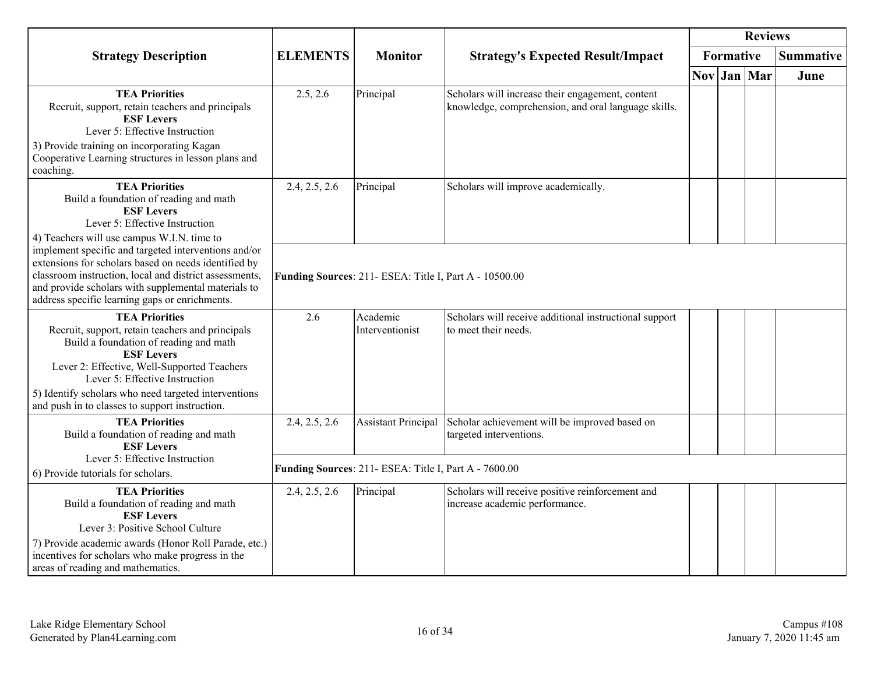|                                                                                                                                                                                                                                                                                 |                                                        |                                                       |                                                                                                         |  |           | <b>Reviews</b> |                  |  |  |  |  |
|---------------------------------------------------------------------------------------------------------------------------------------------------------------------------------------------------------------------------------------------------------------------------------|--------------------------------------------------------|-------------------------------------------------------|---------------------------------------------------------------------------------------------------------|--|-----------|----------------|------------------|--|--|--|--|
| <b>Strategy Description</b>                                                                                                                                                                                                                                                     | <b>ELEMENTS</b>                                        | <b>Monitor</b>                                        | <b>Strategy's Expected Result/Impact</b>                                                                |  | Formative |                | <b>Summative</b> |  |  |  |  |
|                                                                                                                                                                                                                                                                                 |                                                        |                                                       |                                                                                                         |  |           | Nov Jan Mar    | June             |  |  |  |  |
| <b>TEA Priorities</b><br>Recruit, support, retain teachers and principals<br><b>ESF Levers</b><br>Lever 5: Effective Instruction<br>3) Provide training on incorporating Kagan<br>Cooperative Learning structures in lesson plans and<br>coaching.                              | 2.5, 2.6                                               | Principal                                             | Scholars will increase their engagement, content<br>knowledge, comprehension, and oral language skills. |  |           |                |                  |  |  |  |  |
| <b>TEA Priorities</b><br>Build a foundation of reading and math<br><b>ESF Levers</b><br>Lever 5: Effective Instruction<br>4) Teachers will use campus W.I.N. time to                                                                                                            | 2.4, 2.5, 2.6                                          | Principal                                             | Scholars will improve academically.                                                                     |  |           |                |                  |  |  |  |  |
| implement specific and targeted interventions and/or<br>extensions for scholars based on needs identified by<br>classroom instruction, local and district assessments,<br>and provide scholars with supplemental materials to<br>address specific learning gaps or enrichments. | Funding Sources: 211- ESEA: Title I, Part A - 10500.00 |                                                       |                                                                                                         |  |           |                |                  |  |  |  |  |
| <b>TEA Priorities</b><br>Recruit, support, retain teachers and principals<br>Build a foundation of reading and math<br><b>ESF Levers</b><br>Lever 2: Effective, Well-Supported Teachers<br>Lever 5: Effective Instruction                                                       | 2.6                                                    | Academic<br>Interventionist                           | Scholars will receive additional instructional support<br>to meet their needs.                          |  |           |                |                  |  |  |  |  |
| 5) Identify scholars who need targeted interventions<br>and push in to classes to support instruction.                                                                                                                                                                          |                                                        |                                                       |                                                                                                         |  |           |                |                  |  |  |  |  |
| <b>TEA Priorities</b><br>Build a foundation of reading and math<br><b>ESF Levers</b>                                                                                                                                                                                            | 2.4, 2.5, 2.6                                          | <b>Assistant Principal</b>                            | Scholar achievement will be improved based on<br>targeted interventions.                                |  |           |                |                  |  |  |  |  |
| Lever 5: Effective Instruction<br>6) Provide tutorials for scholars.                                                                                                                                                                                                            |                                                        | Funding Sources: 211- ESEA: Title I, Part A - 7600.00 |                                                                                                         |  |           |                |                  |  |  |  |  |
| <b>TEA Priorities</b><br>Build a foundation of reading and math<br><b>ESF Levers</b><br>Lever 3: Positive School Culture<br>7) Provide academic awards (Honor Roll Parade, etc.)<br>incentives for scholars who make progress in the<br>areas of reading and mathematics.       | 2.4, 2.5, 2.6                                          | Principal                                             | Scholars will receive positive reinforcement and<br>increase academic performance.                      |  |           |                |                  |  |  |  |  |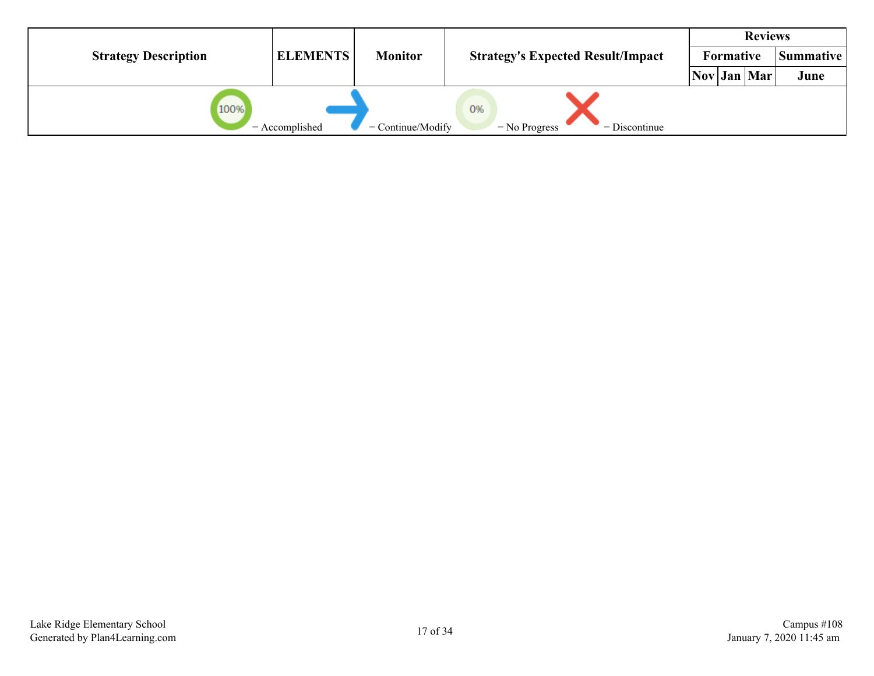|                             |                  |                     | <b>Reviews</b>                           |                  |  |           |      |
|-----------------------------|------------------|---------------------|------------------------------------------|------------------|--|-----------|------|
| <b>Strategy Description</b> | <b>ELEMENTS</b>  | <b>Monitor</b>      | <b>Strategy's Expected Result/Impact</b> | <b>Formative</b> |  | Summative |      |
|                             |                  |                     |                                          | Nov Jan Mar      |  |           | June |
| 100%                        | $=$ Accomplished | $=$ Continue/Modify | 0%<br>$=$ Discontinue<br>$=$ No Progress |                  |  |           |      |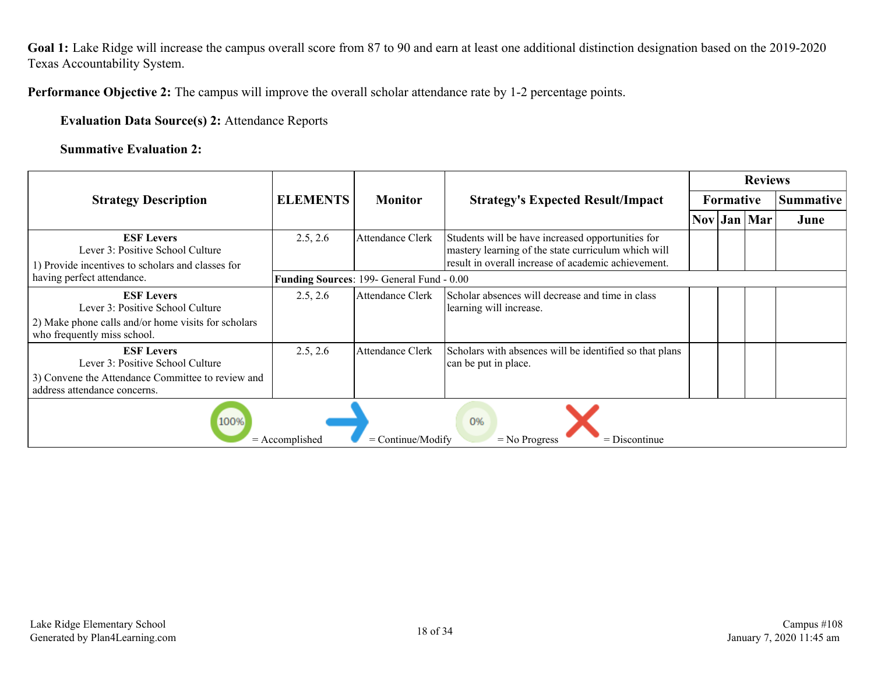Goal 1: Lake Ridge will increase the campus overall score from 87 to 90 and earn at least one additional distinction designation based on the 2019-2020 Texas Accountability System.

**Performance Objective 2:** The campus will improve the overall scholar attendance rate by 1-2 percentage points.

**Evaluation Data Source(s) 2:** Attendance Reports

**Summative Evaluation 2:**

|                                                                                                            |                  | <b>Monitor</b>                            | <b>Strategy's Expected Result/Impact</b>                                                                                                                        |  | <b>Reviews</b>   |                  |      |  |  |  |  |
|------------------------------------------------------------------------------------------------------------|------------------|-------------------------------------------|-----------------------------------------------------------------------------------------------------------------------------------------------------------------|--|------------------|------------------|------|--|--|--|--|
| <b>Strategy Description</b>                                                                                | <b>ELEMENTS</b>  |                                           |                                                                                                                                                                 |  | <b>Formative</b> | <b>Summative</b> |      |  |  |  |  |
|                                                                                                            |                  |                                           |                                                                                                                                                                 |  |                  | Nov Jan Mar      | June |  |  |  |  |
| <b>ESF Levers</b><br>Lever 3: Positive School Culture<br>1) Provide incentives to scholars and classes for | 2.5, 2.6         | Attendance Clerk                          | Students will be have increased opportunities for<br>mastery learning of the state curriculum which will<br>result in overall increase of academic achievement. |  |                  |                  |      |  |  |  |  |
| having perfect attendance.                                                                                 |                  | Funding Sources: 199- General Fund - 0.00 |                                                                                                                                                                 |  |                  |                  |      |  |  |  |  |
| <b>ESF Levers</b><br>Lever 3: Positive School Culture                                                      | 2.5, 2.6         | <b>Attendance Clerk</b>                   | Scholar absences will decrease and time in class<br>learning will increase.                                                                                     |  |                  |                  |      |  |  |  |  |
| 2) Make phone calls and/or home visits for scholars<br>who frequently miss school.                         |                  |                                           |                                                                                                                                                                 |  |                  |                  |      |  |  |  |  |
| <b>ESF Levers</b><br>Lever 3: Positive School Culture                                                      | 2.5, 2.6         | <b>Attendance Clerk</b>                   | Scholars with absences will be identified so that plans<br>can be put in place.                                                                                 |  |                  |                  |      |  |  |  |  |
| 3) Convene the Attendance Committee to review and<br>address attendance concerns.                          |                  |                                           |                                                                                                                                                                 |  |                  |                  |      |  |  |  |  |
| 100%                                                                                                       | $=$ Accomplished | $=$ Continue/Modify                       | 0%<br>$=$ Discontinue<br>$=$ No Progress                                                                                                                        |  |                  |                  |      |  |  |  |  |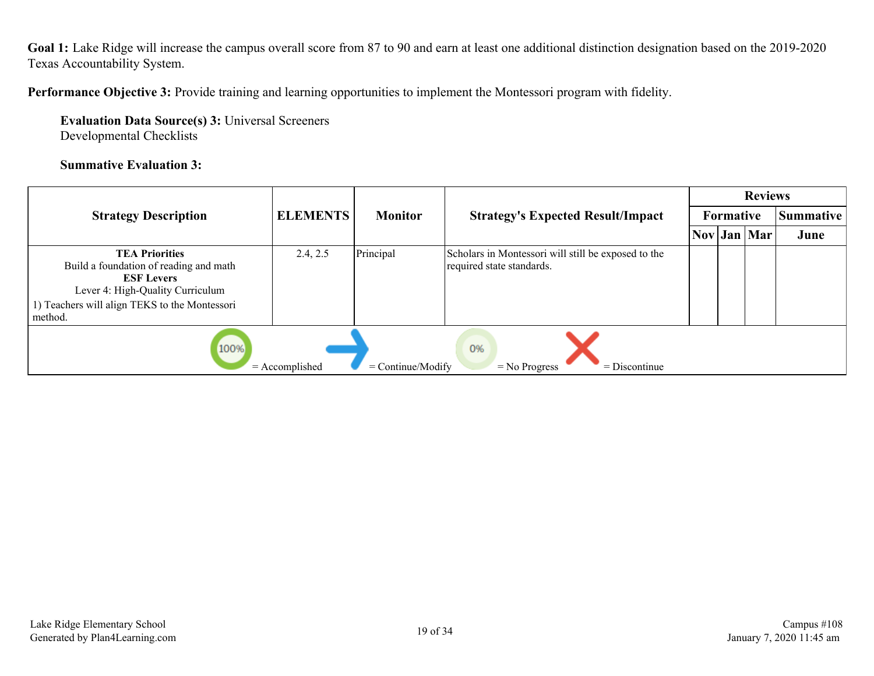Goal 1: Lake Ridge will increase the campus overall score from 87 to 90 and earn at least one additional distinction designation based on the 2019-2020 Texas Accountability System.

**Performance Objective 3:** Provide training and learning opportunities to implement the Montessori program with fidelity.

**Evaluation Data Source(s) 3:** Universal Screeners Developmental Checklists

#### **Summative Evaluation 3:**

|                                                                                                                                                                                      |                  | <b>Monitor</b>      |                                                                                  | <b>Reviews</b> |                  |                  |      |  |  |  |
|--------------------------------------------------------------------------------------------------------------------------------------------------------------------------------------|------------------|---------------------|----------------------------------------------------------------------------------|----------------|------------------|------------------|------|--|--|--|
| <b>Strategy Description</b>                                                                                                                                                          | <b>ELEMENTS</b>  |                     | <b>Strategy's Expected Result/Impact</b>                                         |                | <b>Formative</b> | <b>Summative</b> |      |  |  |  |
|                                                                                                                                                                                      |                  |                     |                                                                                  |                |                  | Nov Jan Mar      | June |  |  |  |
| <b>TEA Priorities</b><br>Build a foundation of reading and math<br><b>ESF Levers</b><br>Lever 4: High-Quality Curriculum<br>1) Teachers will align TEKS to the Montessori<br>method. | 2.4, 2.5         | Principal           | Scholars in Montessori will still be exposed to the<br>required state standards. |                |                  |                  |      |  |  |  |
| 100%                                                                                                                                                                                 | $=$ Accomplished | $=$ Continue/Modify | 0%<br>$=$ Discontinue<br>$=$ No Progress                                         |                |                  |                  |      |  |  |  |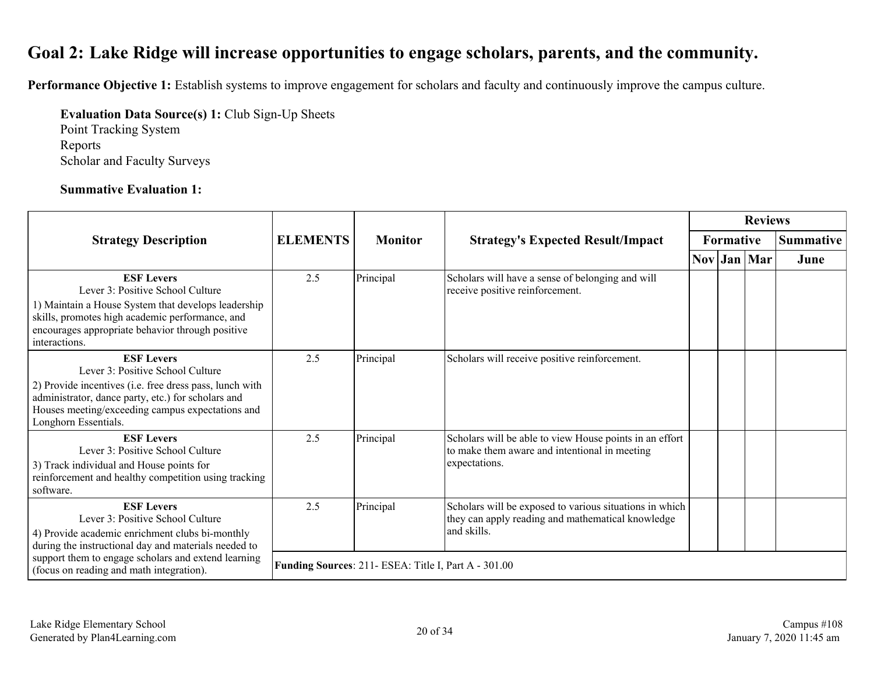### <span id="page-19-0"></span>**Goal 2: Lake Ridge will increase opportunities to engage scholars, parents, and the community.**

**Performance Objective 1:** Establish systems to improve engagement for scholars and faculty and continuously improve the campus culture.

**Evaluation Data Source(s) 1:** Club Sign-Up Sheets

Point Tracking System Reports Scholar and Faculty Surveys

#### **Summative Evaluation 1:**

|                                                                                                                                                                                                                                                    |                 |                                                      |                                                                                                                             | <b>Reviews</b>   |  |             |                  |  |  |
|----------------------------------------------------------------------------------------------------------------------------------------------------------------------------------------------------------------------------------------------------|-----------------|------------------------------------------------------|-----------------------------------------------------------------------------------------------------------------------------|------------------|--|-------------|------------------|--|--|
| <b>Strategy Description</b>                                                                                                                                                                                                                        | <b>ELEMENTS</b> | <b>Monitor</b>                                       | <b>Strategy's Expected Result/Impact</b>                                                                                    | <b>Formative</b> |  |             | <b>Summative</b> |  |  |
|                                                                                                                                                                                                                                                    |                 |                                                      |                                                                                                                             |                  |  | Nov Jan Mar | June             |  |  |
| <b>ESF Levers</b><br>Lever 3: Positive School Culture<br>1) Maintain a House System that develops leadership<br>skills, promotes high academic performance, and<br>encourages appropriate behavior through positive<br>interactions.               | 2.5             | Principal                                            | Scholars will have a sense of belonging and will<br>receive positive reinforcement.                                         |                  |  |             |                  |  |  |
| <b>ESF Levers</b><br>Lever 3: Positive School Culture<br>2) Provide incentives (i.e. free dress pass, lunch with<br>administrator, dance party, etc.) for scholars and<br>Houses meeting/exceeding campus expectations and<br>Longhorn Essentials. | 2.5             | Principal                                            | Scholars will receive positive reinforcement.                                                                               |                  |  |             |                  |  |  |
| <b>ESF Levers</b><br>Lever 3: Positive School Culture<br>3) Track individual and House points for<br>reinforcement and healthy competition using tracking<br>software.                                                                             | 2.5             | Principal                                            | Scholars will be able to view House points in an effort<br>to make them aware and intentional in meeting<br>expectations.   |                  |  |             |                  |  |  |
| <b>ESF Levers</b><br>Lever 3: Positive School Culture<br>4) Provide academic enrichment clubs bi-monthly<br>during the instructional day and materials needed to                                                                                   | 2.5             | Principal                                            | Scholars will be exposed to various situations in which<br>they can apply reading and mathematical knowledge<br>and skills. |                  |  |             |                  |  |  |
| support them to engage scholars and extend learning<br>(focus on reading and math integration).                                                                                                                                                    |                 | Funding Sources: 211- ESEA: Title I, Part A - 301.00 |                                                                                                                             |                  |  |             |                  |  |  |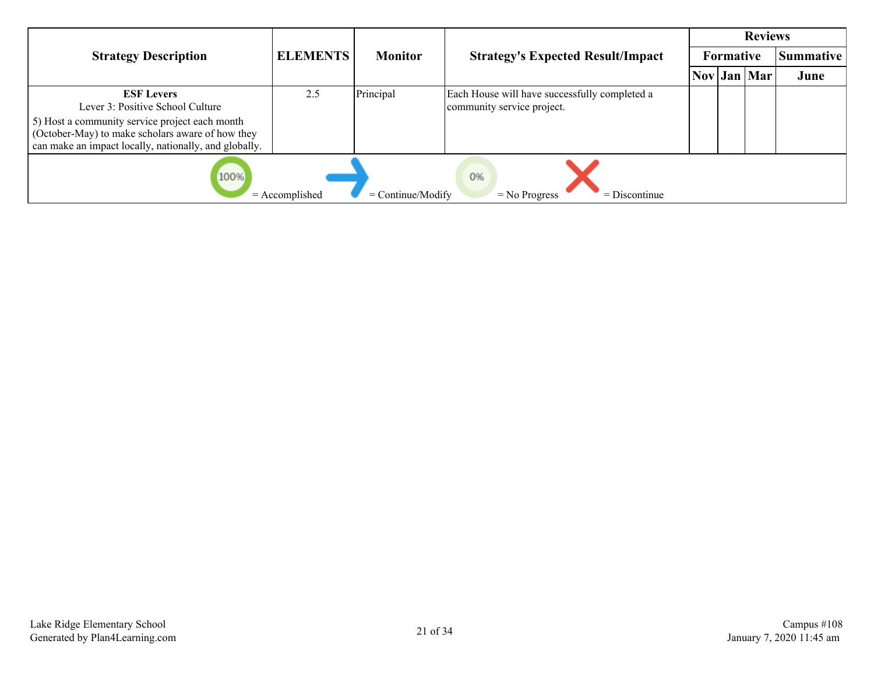|                                                                                                                                                             |                 |                |                                                                             |  | <b>Reviews</b> |             |                  |  |
|-------------------------------------------------------------------------------------------------------------------------------------------------------------|-----------------|----------------|-----------------------------------------------------------------------------|--|----------------|-------------|------------------|--|
| <b>Strategy Description</b>                                                                                                                                 | <b>ELEMENTS</b> | <b>Monitor</b> | <b>Strategy's Expected Result/Impact</b>                                    |  | Formative      |             | <b>Summative</b> |  |
|                                                                                                                                                             |                 |                |                                                                             |  |                | Nov Jan Mar | June             |  |
| <b>ESF Levers</b><br>Lever 3: Positive School Culture                                                                                                       | 2.5             | Principal      | Each House will have successfully completed a<br>community service project. |  |                |             |                  |  |
| 5) Host a community service project each month<br>(October-May) to make scholars aware of how they<br>can make an impact locally, nationally, and globally. |                 |                |                                                                             |  |                |             |                  |  |
| 100%<br>0%<br>$=$ Continue/Modify<br>$=$ Accomplished<br>$=$ Discontinue<br>$=$ No Progress                                                                 |                 |                |                                                                             |  |                |             |                  |  |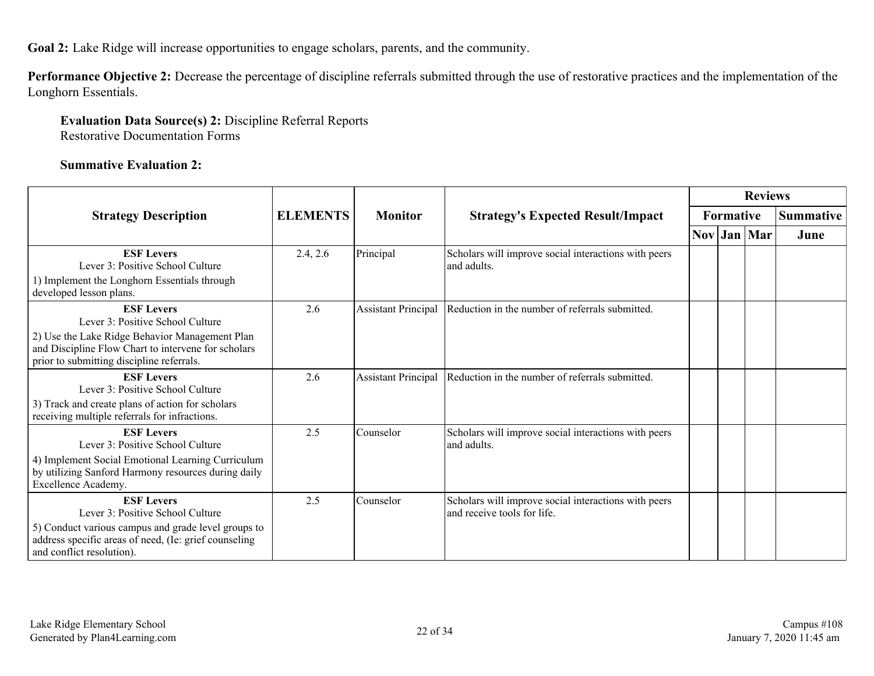**Goal 2:** Lake Ridge will increase opportunities to engage scholars, parents, and the community.

**Performance Objective 2:** Decrease the percentage of discipline referrals submitted through the use of restorative practices and the implementation of the Longhorn Essentials.

#### **Evaluation Data Source(s) 2:** Discipline Referral Reports Restorative Documentation Forms

#### **Summative Evaluation 2:**

|                                                                                                                                                                                                    |                 |                            |                                                                                     | <b>Reviews</b>   |  |             |                  |  |
|----------------------------------------------------------------------------------------------------------------------------------------------------------------------------------------------------|-----------------|----------------------------|-------------------------------------------------------------------------------------|------------------|--|-------------|------------------|--|
| <b>Strategy Description</b>                                                                                                                                                                        | <b>ELEMENTS</b> | <b>Monitor</b>             | <b>Strategy's Expected Result/Impact</b>                                            | <b>Formative</b> |  |             | <b>Summative</b> |  |
|                                                                                                                                                                                                    |                 |                            |                                                                                     |                  |  | Nov Jan Mar | June             |  |
| <b>ESF Levers</b><br>Lever 3: Positive School Culture                                                                                                                                              | 2.4, 2.6        | Principal                  | Scholars will improve social interactions with peers<br>and adults.                 |                  |  |             |                  |  |
| 1) Implement the Longhorn Essentials through<br>developed lesson plans.                                                                                                                            |                 |                            |                                                                                     |                  |  |             |                  |  |
| <b>ESF Levers</b><br>Lever 3: Positive School Culture<br>2) Use the Lake Ridge Behavior Management Plan                                                                                            | 2.6             | <b>Assistant Principal</b> | Reduction in the number of referrals submitted.                                     |                  |  |             |                  |  |
| and Discipline Flow Chart to intervene for scholars<br>prior to submitting discipline referrals.                                                                                                   |                 |                            |                                                                                     |                  |  |             |                  |  |
| <b>ESF Levers</b><br>Lever 3: Positive School Culture                                                                                                                                              | 2.6             | <b>Assistant Principal</b> | Reduction in the number of referrals submitted.                                     |                  |  |             |                  |  |
| 3) Track and create plans of action for scholars<br>receiving multiple referrals for infractions.                                                                                                  |                 |                            |                                                                                     |                  |  |             |                  |  |
| <b>ESF Levers</b><br>Lever 3: Positive School Culture                                                                                                                                              | 2.5             | Counselor                  | Scholars will improve social interactions with peers<br>and adults.                 |                  |  |             |                  |  |
| 4) Implement Social Emotional Learning Curriculum<br>by utilizing Sanford Harmony resources during daily<br>Excellence Academy.                                                                    |                 |                            |                                                                                     |                  |  |             |                  |  |
| <b>ESF Levers</b><br>Lever 3: Positive School Culture<br>5) Conduct various campus and grade level groups to<br>address specific areas of need, (Ie: grief counseling<br>and conflict resolution). | 2.5             | Counselor                  | Scholars will improve social interactions with peers<br>and receive tools for life. |                  |  |             |                  |  |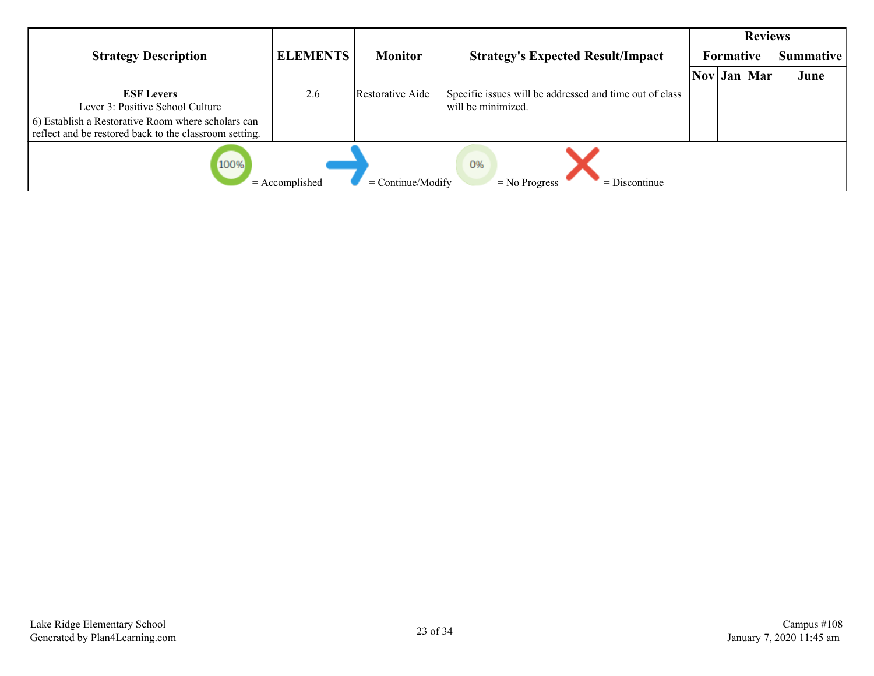|                                                                                                                                                                       |                 |                  |                                                                               |  |           | <b>Reviews</b>       |                  |  |
|-----------------------------------------------------------------------------------------------------------------------------------------------------------------------|-----------------|------------------|-------------------------------------------------------------------------------|--|-----------|----------------------|------------------|--|
| <b>Strategy Description</b>                                                                                                                                           | <b>ELEMENTS</b> | <b>Monitor</b>   | <b>Strategy's Expected Result/Impact</b>                                      |  | Formative |                      | <b>Summative</b> |  |
|                                                                                                                                                                       |                 |                  |                                                                               |  |           | $\text{Nov}$ Jan Mar | June             |  |
| <b>ESF Levers</b><br>Lever 3: Positive School Culture<br>6) Establish a Restorative Room where scholars can<br>reflect and be restored back to the classroom setting. | 2.6             | Restorative Aide | Specific issues will be addressed and time out of class<br>will be minimized. |  |           |                      |                  |  |
| 100%<br>0%<br>$=$ Accomplished<br>$=$ Continue/Modify<br>$=$ Discontinue<br>$=$ No Progress                                                                           |                 |                  |                                                                               |  |           |                      |                  |  |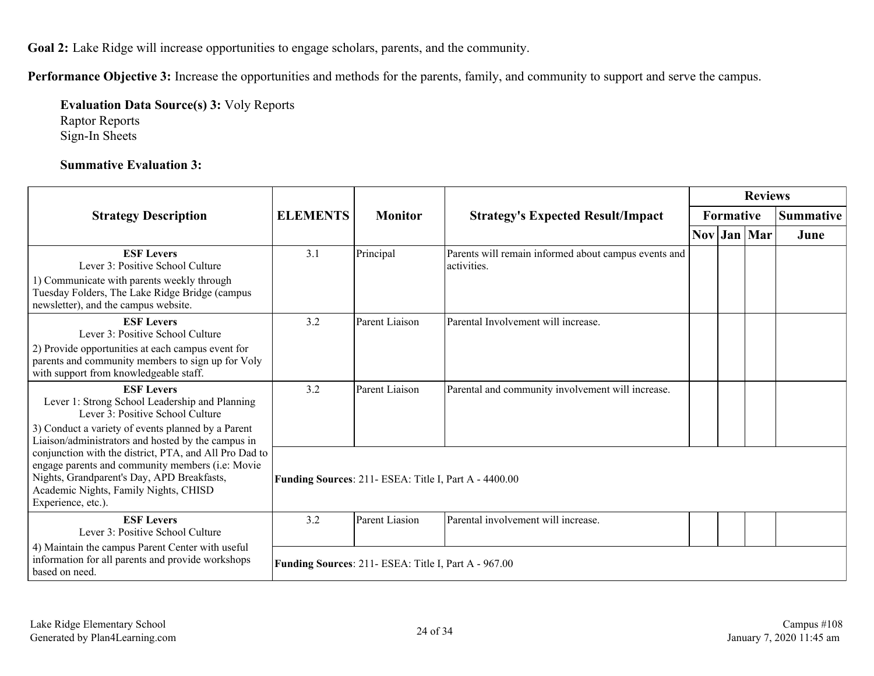**Goal 2:** Lake Ridge will increase opportunities to engage scholars, parents, and the community.

**Performance Objective 3:** Increase the opportunities and methods for the parents, family, and community to support and serve the campus.

**Evaluation Data Source(s) 3:** Voly Reports Raptor Reports Sign-In Sheets

#### **Summative Evaluation 3:**

|                                                                                                                                                                                                                                                                               |                                                       | <b>Reviews</b> |                                                                     |           |  |             |                  |
|-------------------------------------------------------------------------------------------------------------------------------------------------------------------------------------------------------------------------------------------------------------------------------|-------------------------------------------------------|----------------|---------------------------------------------------------------------|-----------|--|-------------|------------------|
| <b>Strategy Description</b>                                                                                                                                                                                                                                                   | <b>ELEMENTS</b>                                       | <b>Monitor</b> | <b>Strategy's Expected Result/Impact</b>                            | Formative |  |             | <b>Summative</b> |
|                                                                                                                                                                                                                                                                               |                                                       |                |                                                                     |           |  | Nov Jan Mar | June             |
| <b>ESF Levers</b><br>Lever 3: Positive School Culture<br>1) Communicate with parents weekly through<br>Tuesday Folders, The Lake Ridge Bridge (campus<br>newsletter), and the campus website.                                                                                 | 3.1                                                   | Principal      | Parents will remain informed about campus events and<br>activities. |           |  |             |                  |
| <b>ESF Levers</b><br>Lever 3: Positive School Culture<br>2) Provide opportunities at each campus event for<br>parents and community members to sign up for Voly<br>with support from knowledgeable staff.                                                                     | 3.2                                                   | Parent Liaison | Parental Involvement will increase.                                 |           |  |             |                  |
| <b>ESF Levers</b><br>Lever 1: Strong School Leadership and Planning<br>Lever 3: Positive School Culture<br>3) Conduct a variety of events planned by a Parent                                                                                                                 | 3.2                                                   | Parent Liaison | Parental and community involvement will increase.                   |           |  |             |                  |
| Liaison/administrators and hosted by the campus in<br>conjunction with the district, PTA, and All Pro Dad to<br>engage parents and community members (i.e: Movie<br>Nights, Grandparent's Day, APD Breakfasts,<br>Academic Nights, Family Nights, CHISD<br>Experience, etc.). | Funding Sources: 211- ESEA: Title I, Part A - 4400.00 |                |                                                                     |           |  |             |                  |
| <b>ESF Levers</b><br>Lever 3: Positive School Culture                                                                                                                                                                                                                         | 3.2                                                   | Parent Liasion | Parental involvement will increase.                                 |           |  |             |                  |
| 4) Maintain the campus Parent Center with useful<br>information for all parents and provide workshops<br>based on need.                                                                                                                                                       | Funding Sources: 211- ESEA: Title I, Part A - 967.00  |                |                                                                     |           |  |             |                  |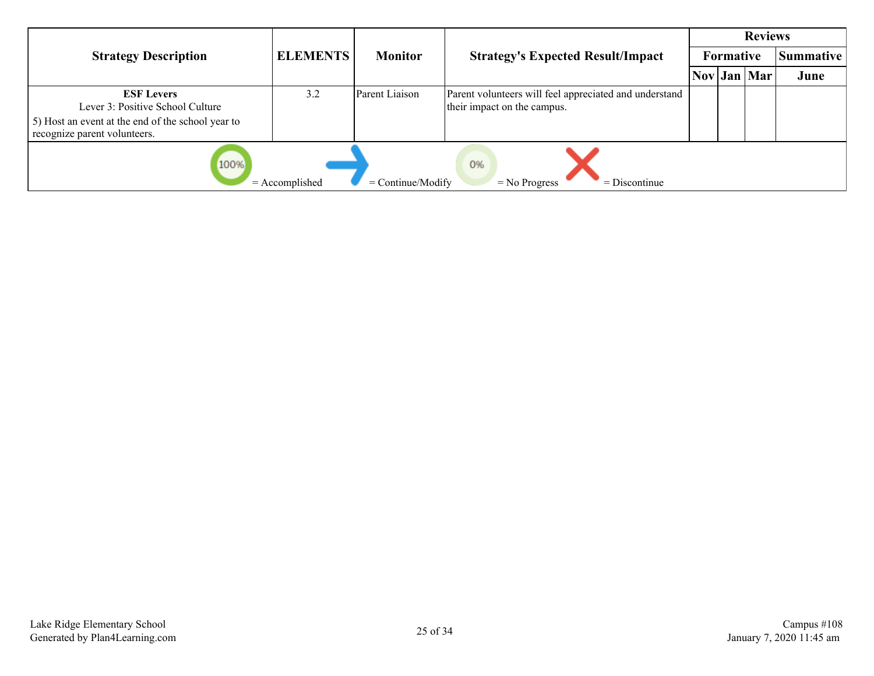|                                                                                             |                 |                |                                                                                       |  |           | <b>Reviews</b> |                  |  |
|---------------------------------------------------------------------------------------------|-----------------|----------------|---------------------------------------------------------------------------------------|--|-----------|----------------|------------------|--|
| <b>Strategy Description</b>                                                                 | <b>ELEMENTS</b> | <b>Monitor</b> | <b>Strategy's Expected Result/Impact</b>                                              |  | Formative |                | <b>Summative</b> |  |
|                                                                                             |                 |                |                                                                                       |  |           | Nov Jan Mar    | June             |  |
| <b>ESF Levers</b><br>Lever 3: Positive School Culture                                       | 3.2             | Parent Liaison | Parent volunteers will feel appreciated and understand<br>their impact on the campus. |  |           |                |                  |  |
| 5) Host an event at the end of the school year to<br>recognize parent volunteers.           |                 |                |                                                                                       |  |           |                |                  |  |
| 100%<br>0%<br>$=$ Accomplished<br>$=$ Continue/Modify<br>$=$ No Progress<br>$=$ Discontinue |                 |                |                                                                                       |  |           |                |                  |  |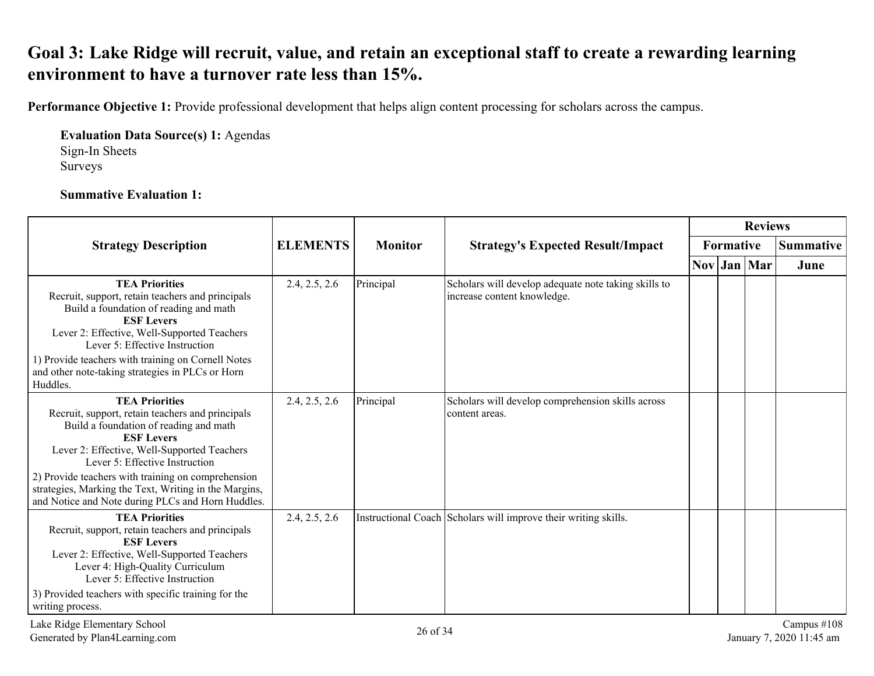### <span id="page-25-0"></span>**Goal 3: Lake Ridge will recruit, value, and retain an exceptional staff to create a rewarding learning environment to have a turnover rate less than 15%.**

**Performance Objective 1:** Provide professional development that helps align content processing for scholars across the campus.

**Evaluation Data Source(s) 1:** Agendas Sign-In Sheets Surveys

#### **Summative Evaluation 1:**

|                                                                                                                                                                                                                                                                                                                                                 | <b>ELEMENTS</b><br><b>Monitor</b><br><b>Strategy Description</b><br><b>Strategy's Expected Result/Impact</b> |           | <b>Reviews</b>                                                                      |  |  |                      |                                            |
|-------------------------------------------------------------------------------------------------------------------------------------------------------------------------------------------------------------------------------------------------------------------------------------------------------------------------------------------------|--------------------------------------------------------------------------------------------------------------|-----------|-------------------------------------------------------------------------------------|--|--|----------------------|--------------------------------------------|
|                                                                                                                                                                                                                                                                                                                                                 |                                                                                                              |           | Formative                                                                           |  |  | <b>Summative</b>     |                                            |
|                                                                                                                                                                                                                                                                                                                                                 |                                                                                                              |           |                                                                                     |  |  | $\text{Nov}$ Jan Mar | June                                       |
| <b>TEA Priorities</b><br>Recruit, support, retain teachers and principals<br>Build a foundation of reading and math<br><b>ESF Levers</b><br>Lever 2: Effective, Well-Supported Teachers<br>Lever 5: Effective Instruction<br>1) Provide teachers with training on Cornell Notes<br>and other note-taking strategies in PLCs or Horn<br>Huddles. | 2.4, 2.5, 2.6                                                                                                | Principal | Scholars will develop adequate note taking skills to<br>increase content knowledge. |  |  |                      |                                            |
| <b>TEA Priorities</b><br>Recruit, support, retain teachers and principals<br>Build a foundation of reading and math<br><b>ESF Levers</b><br>Lever 2: Effective, Well-Supported Teachers<br>Lever 5: Effective Instruction<br>2) Provide teachers with training on comprehension                                                                 | 2.4, 2.5, 2.6                                                                                                | Principal | Scholars will develop comprehension skills across<br>content areas.                 |  |  |                      |                                            |
| strategies, Marking the Text, Writing in the Margins,<br>and Notice and Note during PLCs and Horn Huddles.                                                                                                                                                                                                                                      |                                                                                                              |           |                                                                                     |  |  |                      |                                            |
| <b>TEA Priorities</b><br>Recruit, support, retain teachers and principals<br><b>ESF Levers</b><br>Lever 2: Effective, Well-Supported Teachers<br>Lever 4: High-Quality Curriculum<br>Lever 5: Effective Instruction<br>3) Provided teachers with specific training for the<br>writing process.                                                  | 2.4, 2.5, 2.6                                                                                                |           | Instructional Coach Scholars will improve their writing skills.                     |  |  |                      |                                            |
| Lake Ridge Elementary School<br>Generated by Plan4Learning.com                                                                                                                                                                                                                                                                                  |                                                                                                              | 26 of 34  |                                                                                     |  |  |                      | Campus $\#108$<br>January 7, 2020 11:45 am |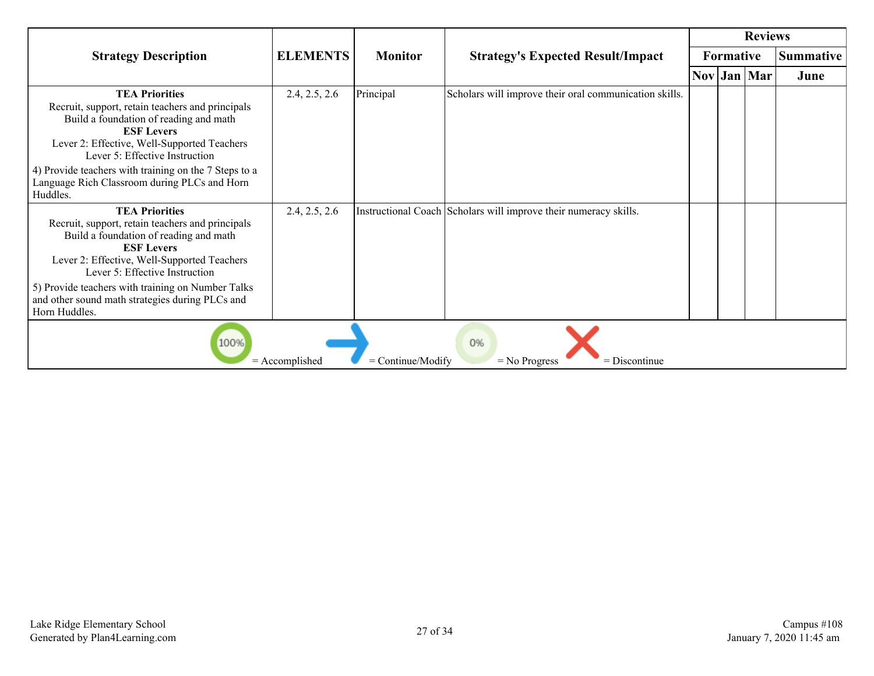|                                                                                                                                                                                                                                                                                                                                                    |                 |                |                                                                  |  |                  | <b>Reviews</b>                                             |                  |  |
|----------------------------------------------------------------------------------------------------------------------------------------------------------------------------------------------------------------------------------------------------------------------------------------------------------------------------------------------------|-----------------|----------------|------------------------------------------------------------------|--|------------------|------------------------------------------------------------|------------------|--|
| <b>Strategy Description</b>                                                                                                                                                                                                                                                                                                                        | <b>ELEMENTS</b> | <b>Monitor</b> | <b>Strategy's Expected Result/Impact</b>                         |  | <b>Formative</b> |                                                            | <b>Summative</b> |  |
|                                                                                                                                                                                                                                                                                                                                                    |                 |                |                                                                  |  |                  | $\vert \text{Nov} \vert \text{Jan} \vert \text{Mar} \vert$ | June             |  |
| <b>TEA Priorities</b><br>Recruit, support, retain teachers and principals<br>Build a foundation of reading and math<br><b>ESF Levers</b><br>Lever 2: Effective, Well-Supported Teachers<br>Lever 5: Effective Instruction<br>4) Provide teachers with training on the 7 Steps to a<br>Language Rich Classroom during PLCs and Horn<br>Huddles.     | 2.4, 2.5, 2.6   | Principal      | Scholars will improve their oral communication skills.           |  |                  |                                                            |                  |  |
| <b>TEA Priorities</b><br>Recruit, support, retain teachers and principals<br>Build a foundation of reading and math<br><b>ESF Levers</b><br>Lever 2: Effective, Well-Supported Teachers<br>Lever 5: Effective Instruction<br>5) Provide teachers with training on Number Talks<br>and other sound math strategies during PLCs and<br>Horn Huddles. | 2.4, 2.5, 2.6   |                | Instructional Coach Scholars will improve their numeracy skills. |  |                  |                                                            |                  |  |
| 0%<br>100%<br>$=$ Accomplished<br>$=$ Continue/Modify<br>$=$ No Progress<br>$=$ Discontinue                                                                                                                                                                                                                                                        |                 |                |                                                                  |  |                  |                                                            |                  |  |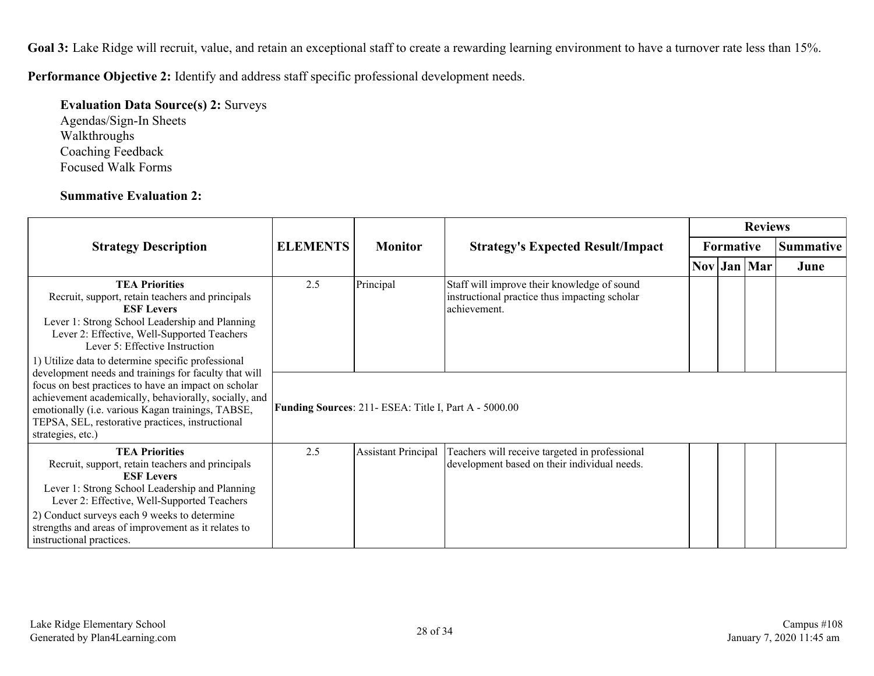Goal 3: Lake Ridge will recruit, value, and retain an exceptional staff to create a rewarding learning environment to have a turnover rate less than 15%.

**Performance Objective 2:** Identify and address staff specific professional development needs.

#### **Evaluation Data Source(s) 2:** Surveys Agendas/Sign-In Sheets

Walkthroughs Coaching Feedback Focused Walk Forms

#### **Summative Evaluation 2:**

|                                                                                                                                                                                                                                                                                                                                                  |                                                       |                            |                                                                                                              |  | <b>Reviews</b> |             |                  |  |  |
|--------------------------------------------------------------------------------------------------------------------------------------------------------------------------------------------------------------------------------------------------------------------------------------------------------------------------------------------------|-------------------------------------------------------|----------------------------|--------------------------------------------------------------------------------------------------------------|--|----------------|-------------|------------------|--|--|
| <b>Strategy Description</b>                                                                                                                                                                                                                                                                                                                      | <b>ELEMENTS</b>                                       | <b>Monitor</b>             | <b>Strategy's Expected Result/Impact</b>                                                                     |  | Formative      |             | <b>Summative</b> |  |  |
|                                                                                                                                                                                                                                                                                                                                                  |                                                       |                            |                                                                                                              |  |                | Nov Jan Mar | June             |  |  |
| <b>TEA Priorities</b><br>Recruit, support, retain teachers and principals<br><b>ESF Levers</b><br>Lever 1: Strong School Leadership and Planning<br>Lever 2: Effective, Well-Supported Teachers<br>Lever 5: Effective Instruction<br>1) Utilize data to determine specific professional<br>development needs and trainings for faculty that will | 2.5                                                   | Principal                  | Staff will improve their knowledge of sound<br>instructional practice thus impacting scholar<br>achievement. |  |                |             |                  |  |  |
| focus on best practices to have an impact on scholar<br>achievement academically, behaviorally, socially, and<br>emotionally (i.e. various Kagan trainings, TABSE,<br>TEPSA, SEL, restorative practices, instructional<br>strategies, etc.)                                                                                                      | Funding Sources: 211- ESEA: Title I, Part A - 5000.00 |                            |                                                                                                              |  |                |             |                  |  |  |
| <b>TEA Priorities</b><br>Recruit, support, retain teachers and principals<br><b>ESF Levers</b><br>Lever 1: Strong School Leadership and Planning<br>Lever 2: Effective, Well-Supported Teachers<br>2) Conduct surveys each 9 weeks to determine<br>strengths and areas of improvement as it relates to<br>instructional practices.               | 2.5                                                   | <b>Assistant Principal</b> | Teachers will receive targeted in professional<br>development based on their individual needs.               |  |                |             |                  |  |  |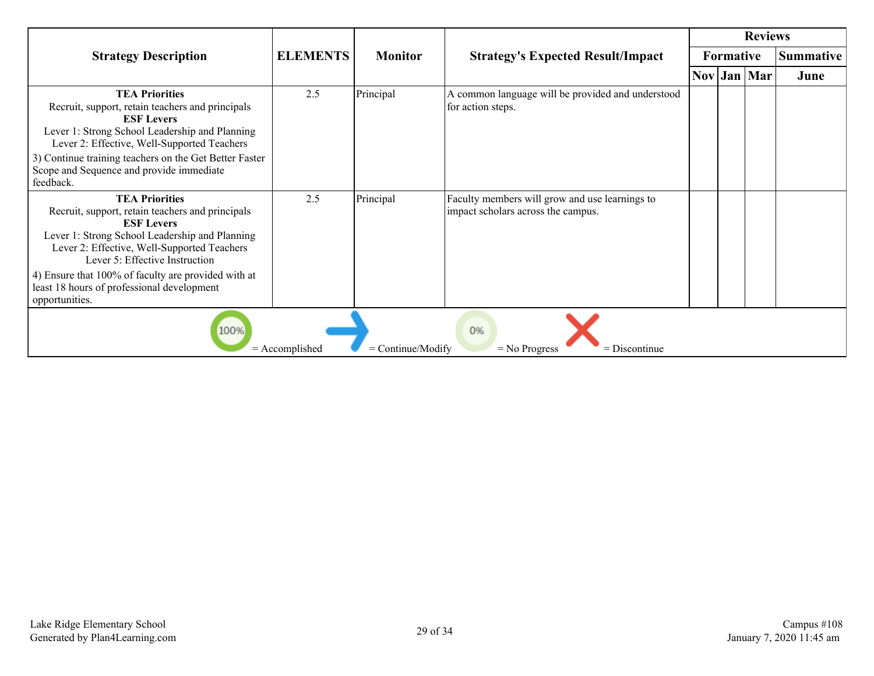|                                                                                                                                                                                                                                                                                                                                                          |                 |                |                                                                                      |  |                  | <b>Reviews</b>       |                  |  |
|----------------------------------------------------------------------------------------------------------------------------------------------------------------------------------------------------------------------------------------------------------------------------------------------------------------------------------------------------------|-----------------|----------------|--------------------------------------------------------------------------------------|--|------------------|----------------------|------------------|--|
| <b>Strategy Description</b>                                                                                                                                                                                                                                                                                                                              | <b>ELEMENTS</b> | <b>Monitor</b> | <b>Strategy's Expected Result/Impact</b>                                             |  | <b>Formative</b> |                      | <b>Summative</b> |  |
|                                                                                                                                                                                                                                                                                                                                                          |                 |                |                                                                                      |  |                  | $\text{Nov}$ Jan Mar | June             |  |
| <b>TEA Priorities</b><br>Recruit, support, retain teachers and principals<br><b>ESF Levers</b><br>Lever 1: Strong School Leadership and Planning<br>Lever 2: Effective, Well-Supported Teachers<br>3) Continue training teachers on the Get Better Faster<br>Scope and Sequence and provide immediate<br>feedback.                                       | 2.5             | Principal      | A common language will be provided and understood<br>for action steps.               |  |                  |                      |                  |  |
| <b>TEA Priorities</b><br>Recruit, support, retain teachers and principals<br><b>ESF Levers</b><br>Lever 1: Strong School Leadership and Planning<br>Lever 2: Effective, Well-Supported Teachers<br>Lever 5: Effective Instruction<br>4) Ensure that 100% of faculty are provided with at<br>least 18 hours of professional development<br>opportunities. | 2.5             | Principal      | Faculty members will grow and use learnings to<br>impact scholars across the campus. |  |                  |                      |                  |  |
| 100%<br>0%<br>= Continue/Modify<br>$=$ Accomplished<br>$=$ No Progress<br>$=$ Discontinue                                                                                                                                                                                                                                                                |                 |                |                                                                                      |  |                  |                      |                  |  |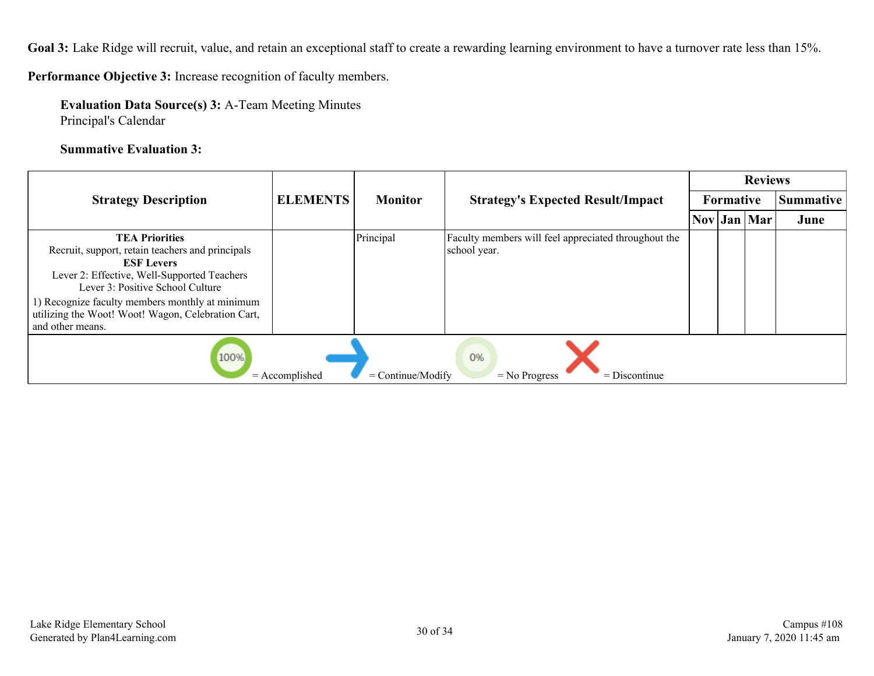Goal 3: Lake Ridge will recruit, value, and retain an exceptional staff to create a rewarding learning environment to have a turnover rate less than 15%.

**Performance Objective 3:** Increase recognition of faculty members.

**Evaluation Data Source(s) 3:** A-Team Meeting Minutes Principal's Calendar

**Summative Evaluation 3:**

|                                                                                                                                                                                                                                                                                                                |                 |                |                                                                      |  |                  | <b>Reviews</b>       |                  |
|----------------------------------------------------------------------------------------------------------------------------------------------------------------------------------------------------------------------------------------------------------------------------------------------------------------|-----------------|----------------|----------------------------------------------------------------------|--|------------------|----------------------|------------------|
| <b>Strategy Description</b>                                                                                                                                                                                                                                                                                    | <b>ELEMENTS</b> | <b>Monitor</b> | <b>Strategy's Expected Result/Impact</b>                             |  | <b>Formative</b> |                      | <b>Summative</b> |
|                                                                                                                                                                                                                                                                                                                |                 |                |                                                                      |  |                  | $\text{Nov}$ Jan Mar | June             |
| <b>TEA Priorities</b><br>Recruit, support, retain teachers and principals<br><b>ESF Levers</b><br>Lever 2: Effective, Well-Supported Teachers<br>Lever 3: Positive School Culture<br>1) Recognize faculty members monthly at minimum<br>utilizing the Woot! Woot! Wagon, Celebration Cart,<br>and other means. |                 | Principal      | Faculty members will feel appreciated throughout the<br>school year. |  |                  |                      |                  |
| 100%<br>0%<br>$=$ Continue/Modify<br>$=$ Accomplished<br>$=$ Discontinue<br>$=$ No Progress                                                                                                                                                                                                                    |                 |                |                                                                      |  |                  |                      |                  |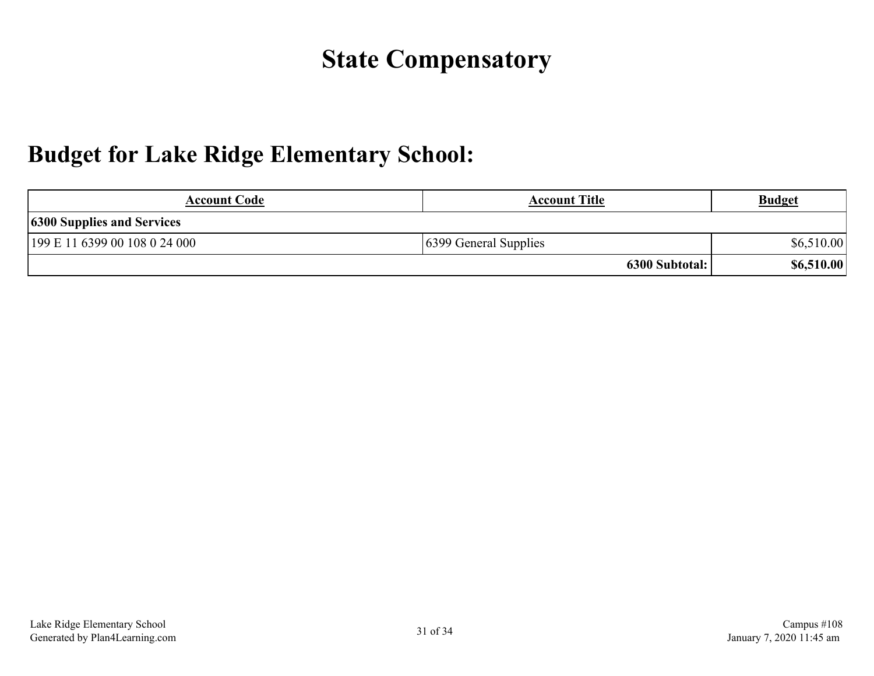## **State Compensatory**

### <span id="page-30-0"></span>**Budget for Lake Ridge Elementary School:**

| <b>Account Code</b>               | <b>Account Title</b>  | <b>Budget</b> |  |  |
|-----------------------------------|-----------------------|---------------|--|--|
| <b>6300 Supplies and Services</b> |                       |               |  |  |
| 199 E 11 6399 00 108 0 24 000     | 6399 General Supplies | \$6,510.00    |  |  |
|                                   | 6300 Subtotal:        | \$6,510.00    |  |  |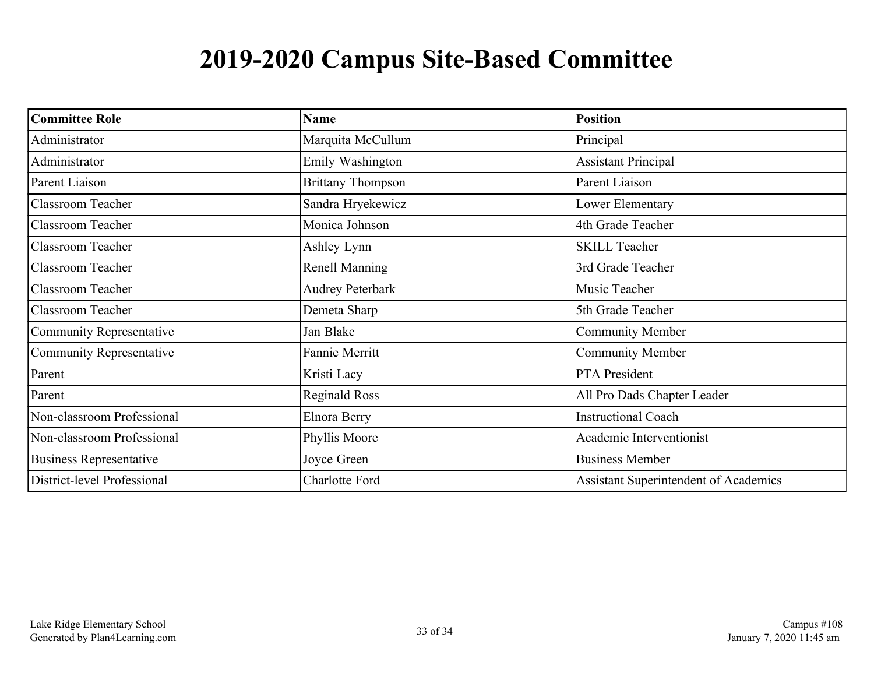## **2019-2020 Campus Site-Based Committee**

<span id="page-32-0"></span>

| <b>Committee Role</b>           | <b>Name</b>              | <b>Position</b>                              |
|---------------------------------|--------------------------|----------------------------------------------|
| Administrator                   | Marquita McCullum        | Principal                                    |
| Administrator                   | Emily Washington         | <b>Assistant Principal</b>                   |
| Parent Liaison                  | <b>Brittany Thompson</b> | Parent Liaison                               |
| <b>Classroom Teacher</b>        | Sandra Hryekewicz        | Lower Elementary                             |
| <b>Classroom Teacher</b>        | Monica Johnson           | 4th Grade Teacher                            |
| <b>Classroom Teacher</b>        | Ashley Lynn              | <b>SKILL Teacher</b>                         |
| <b>Classroom Teacher</b>        | Renell Manning           | 3rd Grade Teacher                            |
| <b>Classroom Teacher</b>        | <b>Audrey Peterbark</b>  | Music Teacher                                |
| <b>Classroom Teacher</b>        | Demeta Sharp             | 5th Grade Teacher                            |
| <b>Community Representative</b> | Jan Blake                | <b>Community Member</b>                      |
| <b>Community Representative</b> | Fannie Merritt           | <b>Community Member</b>                      |
| Parent                          | Kristi Lacy              | <b>PTA</b> President                         |
| Parent                          | <b>Reginald Ross</b>     | All Pro Dads Chapter Leader                  |
| Non-classroom Professional      | Elnora Berry             | <b>Instructional Coach</b>                   |
| Non-classroom Professional      | Phyllis Moore            | Academic Interventionist                     |
| <b>Business Representative</b>  | Joyce Green              | <b>Business Member</b>                       |
| District-level Professional     | <b>Charlotte Ford</b>    | <b>Assistant Superintendent of Academics</b> |